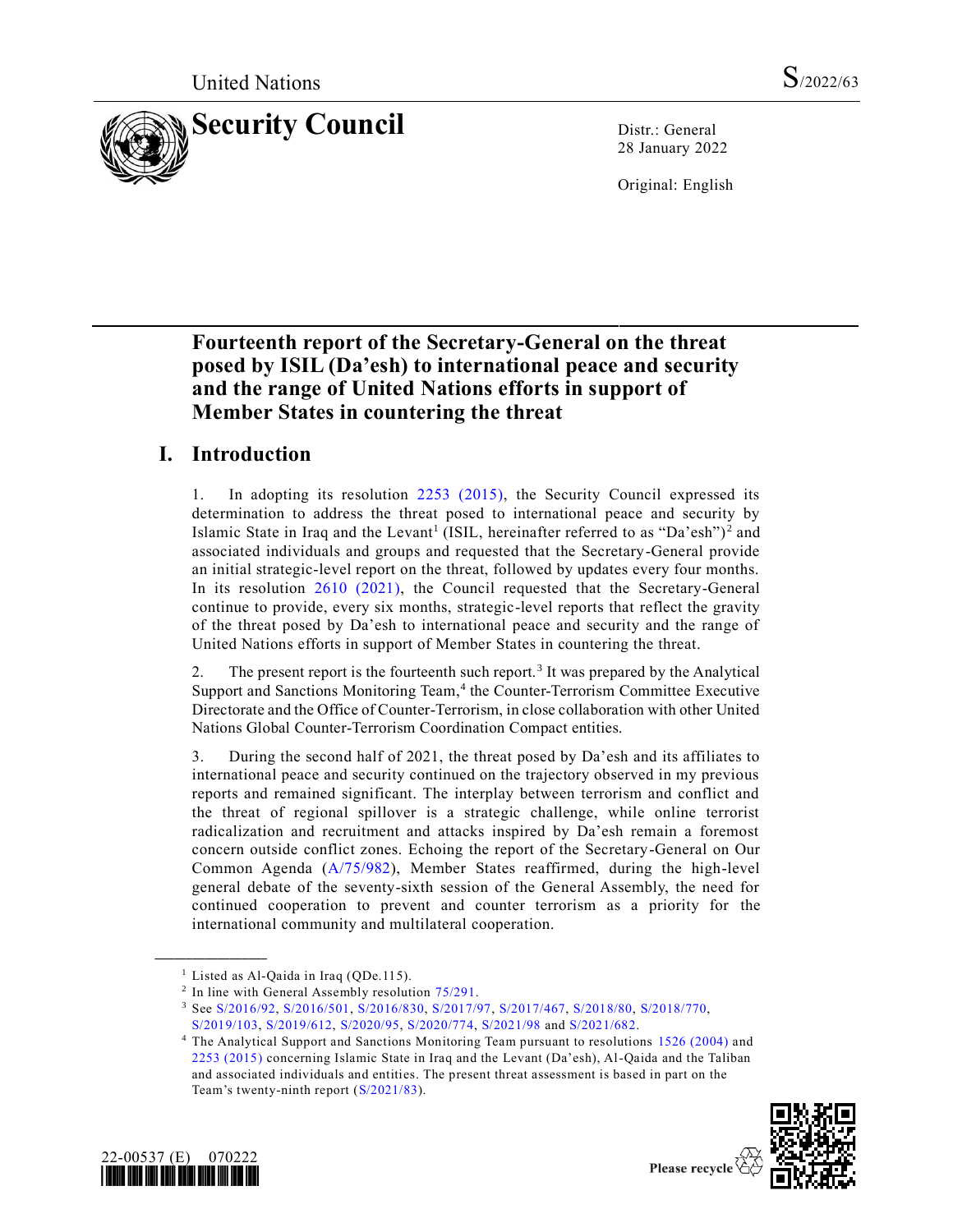

28 January 2022

Original: English

# **Fourteenth report of the Secretary-General on the threat posed by ISIL (Da'esh) to international peace and security and the range of United Nations efforts in support of Member States in countering the threat**

# **I. Introduction**

1. In adopting its resolution [2253 \(2015\),](https://undocs.org/en/S/RES/2253(2015)) the Security Council expressed its determination to address the threat posed to international peace and security by Islamic State in Iraq and the Levant<sup>1</sup> (ISIL, hereinafter referred to as "Da'esh")<sup>2</sup> and associated individuals and groups and requested that the Secretary-General provide an initial strategic-level report on the threat, followed by updates every four months. In its resolution [2610 \(2021\),](https://undocs.org/en/S/RES/2610(2021)) the Council requested that the Secretary-General continue to provide, every six months, strategic-level reports that reflect the gravity of the threat posed by Da'esh to international peace and security and the range of United Nations efforts in support of Member States in countering the threat.

2. The present report is the fourteenth such report.<sup>3</sup> It was prepared by the Analytical Support and Sanctions Monitoring Team, 4 the Counter-Terrorism Committee Executive Directorate and the Office of Counter-Terrorism, in close collaboration with other United Nations Global Counter-Terrorism Coordination Compact entities.

3. During the second half of 2021, the threat posed by Da'esh and its affiliates to international peace and security continued on the trajectory observed in my previous reports and remained significant. The interplay between terrorism and conflict and the threat of regional spillover is a strategic challenge, while online terrorist radicalization and recruitment and attacks inspired by Da'esh remain a foremost concern outside conflict zones. Echoing the report of the Secretary-General on Our Common Agenda [\(A/75/982\)](https://undocs.org/en/A/75/982), Member States reaffirmed, during the high-level general debate of the seventy-sixth session of the General Assembly, the need for continued cooperation to prevent and counter terrorism as a priority for the international community and multilateral cooperation.

<sup>&</sup>lt;sup>4</sup> The Analytical Support and Sanctions Monitoring Team pursuant to resolutions [1526 \(2004\)](https://undocs.org/en/S/RES/1526(2004)) and [2253 \(2015\)](https://undocs.org/en/S/RES/2253(2015)) concerning Islamic State in Iraq and the Levant (Da'esh), Al-Qaida and the Taliban and associated individuals and entities. The present threat assessment is based in part on the Team's twenty-ninth report [\(S/2021/83\)](https://undocs.org/en/S/2021/83).



**\_\_\_\_\_\_\_\_\_\_\_\_\_\_\_\_\_\_**



Please recycle  $\forall$ 

<sup>&</sup>lt;sup>1</sup> Listed as Al-Qaida in Iraq (QDe.115).

<sup>&</sup>lt;sup>2</sup> In line with General Assembly resolution [75/291.](https://undocs.org/en/A/RES/75/291)

<sup>3</sup> See [S/2016/92,](https://undocs.org/en/S/2016/92) [S/2016/501,](https://undocs.org/en/S/2016/501) [S/2016/830,](https://undocs.org/en/S/2016/830) [S/2017/97,](https://undocs.org/en/S/2017/97) [S/2017/467,](https://undocs.org/en/S/2017/467) [S/2018/80,](https://undocs.org/en/S/2018/80) [S/2018/770,](https://undocs.org/en/S/2018/770)  [S/2019/103,](https://undocs.org/en/S/2019/103) [S/2019/612,](https://undocs.org/en/S/2019/612) [S/2020/95,](https://undocs.org/en/S/2020/95) [S/2020/774,](https://undocs.org/en/S/2020/774) [S/2021/98](https://undocs.org/en/S/2021/98) and [S/2021/682.](https://undocs.org/en/S/2021/682)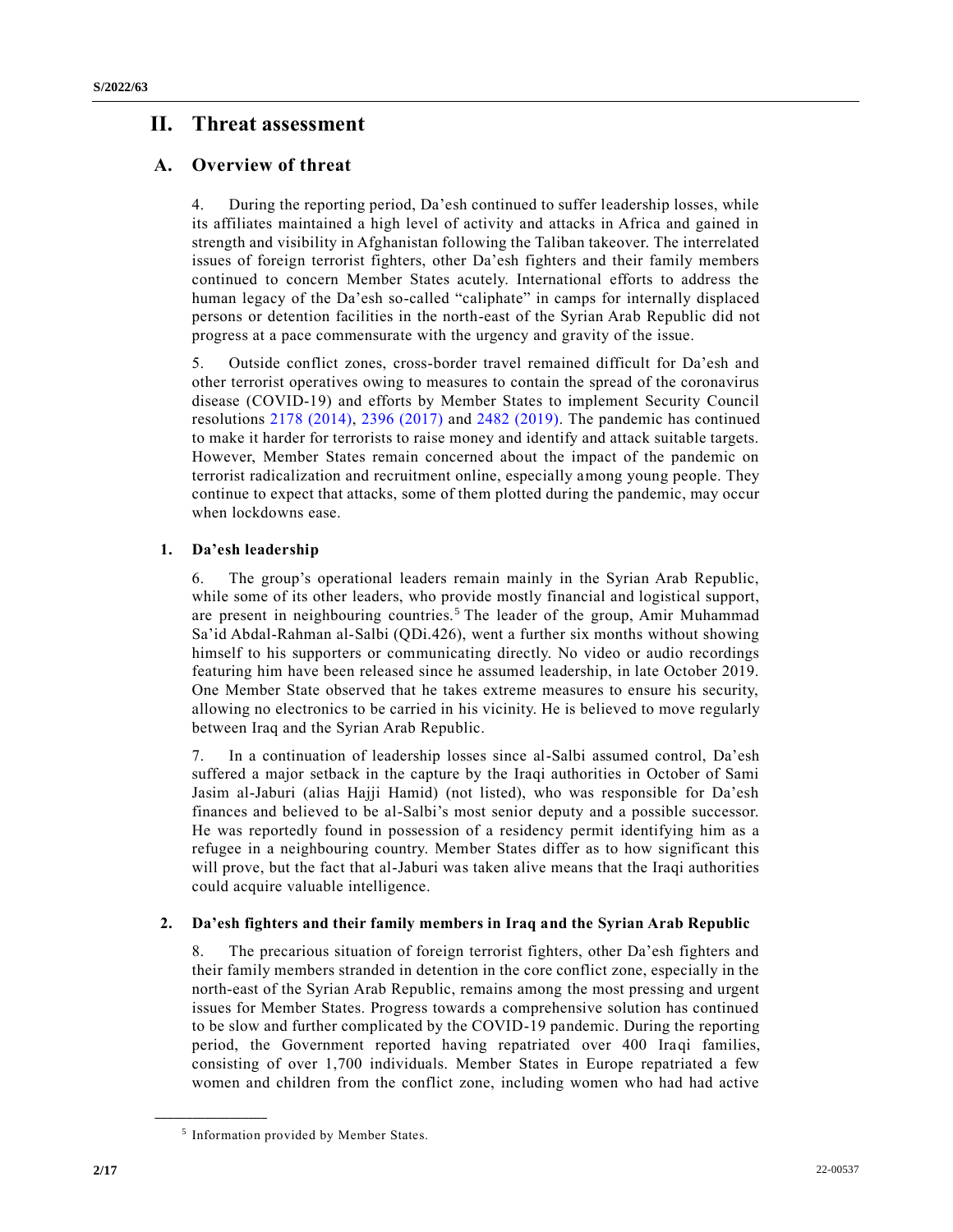# **II. Threat assessment**

## **A. Overview of threat**

4. During the reporting period, Da'esh continued to suffer leadership losses, while its affiliates maintained a high level of activity and attacks in Africa and gained in strength and visibility in Afghanistan following the Taliban takeover. The interrelated issues of foreign terrorist fighters, other Da'esh fighters and their family members continued to concern Member States acutely. International efforts to address the human legacy of the Da'esh so-called "caliphate" in camps for internally displaced persons or detention facilities in the north-east of the Syrian Arab Republic did not progress at a pace commensurate with the urgency and gravity of the issue.

5. Outside conflict zones, cross-border travel remained difficult for Da'esh and other terrorist operatives owing to measures to contain the spread of the coronavirus disease (COVID-19) and efforts by Member States to implement Security Council resolutions [2178 \(2014\),](https://undocs.org/en/S/RES/2178(2014)) [2396 \(2017\)](https://undocs.org/en/S/RES/2396(2017)) and [2482 \(2019\).](https://undocs.org/en/S/RES/2482(2019)) The pandemic has continued to make it harder for terrorists to raise money and identify and attack suitable targets. However, Member States remain concerned about the impact of the pandemic on terrorist radicalization and recruitment online, especially among young people. They continue to expect that attacks, some of them plotted during the pandemic, may occur when lockdowns ease.

## **1. Da'esh leadership**

6. The group's operational leaders remain mainly in the Syrian Arab Republic, while some of its other leaders, who provide mostly financial and logistical support, are present in neighbouring countries.<sup>5</sup> The leader of the group, Amir Muhammad Sa'id Abdal-Rahman al-Salbi (QDi.426), went a further six months without showing himself to his supporters or communicating directly. No video or audio recordings featuring him have been released since he assumed leadership, in late October 2019. One Member State observed that he takes extreme measures to ensure his security, allowing no electronics to be carried in his vicinity. He is believed to move regularly between Iraq and the Syrian Arab Republic.

7. In a continuation of leadership losses since al-Salbi assumed control, Da'esh suffered a major setback in the capture by the Iraqi authorities in October of Sami Jasim al-Jaburi (alias Hajji Hamid) (not listed), who was responsible for Da'esh finances and believed to be al-Salbi's most senior deputy and a possible successor. He was reportedly found in possession of a residency permit identifying him as a refugee in a neighbouring country. Member States differ as to how significant this will prove, but the fact that al-Jaburi was taken alive means that the Iraqi authorities could acquire valuable intelligence.

### **2. Da'esh fighters and their family members in Iraq and the Syrian Arab Republic**

8. The precarious situation of foreign terrorist fighters, other Da'esh fighters and their family members stranded in detention in the core conflict zone, especially in the north-east of the Syrian Arab Republic, remains among the most pressing and urgent issues for Member States. Progress towards a comprehensive solution has continued to be slow and further complicated by the COVID-19 pandemic. During the reporting period, the Government reported having repatriated over 400 Iraqi families, consisting of over 1,700 individuals. Member States in Europe repatriated a few women and children from the conflict zone, including women who had had active

<sup>5</sup> Information provided by Member States.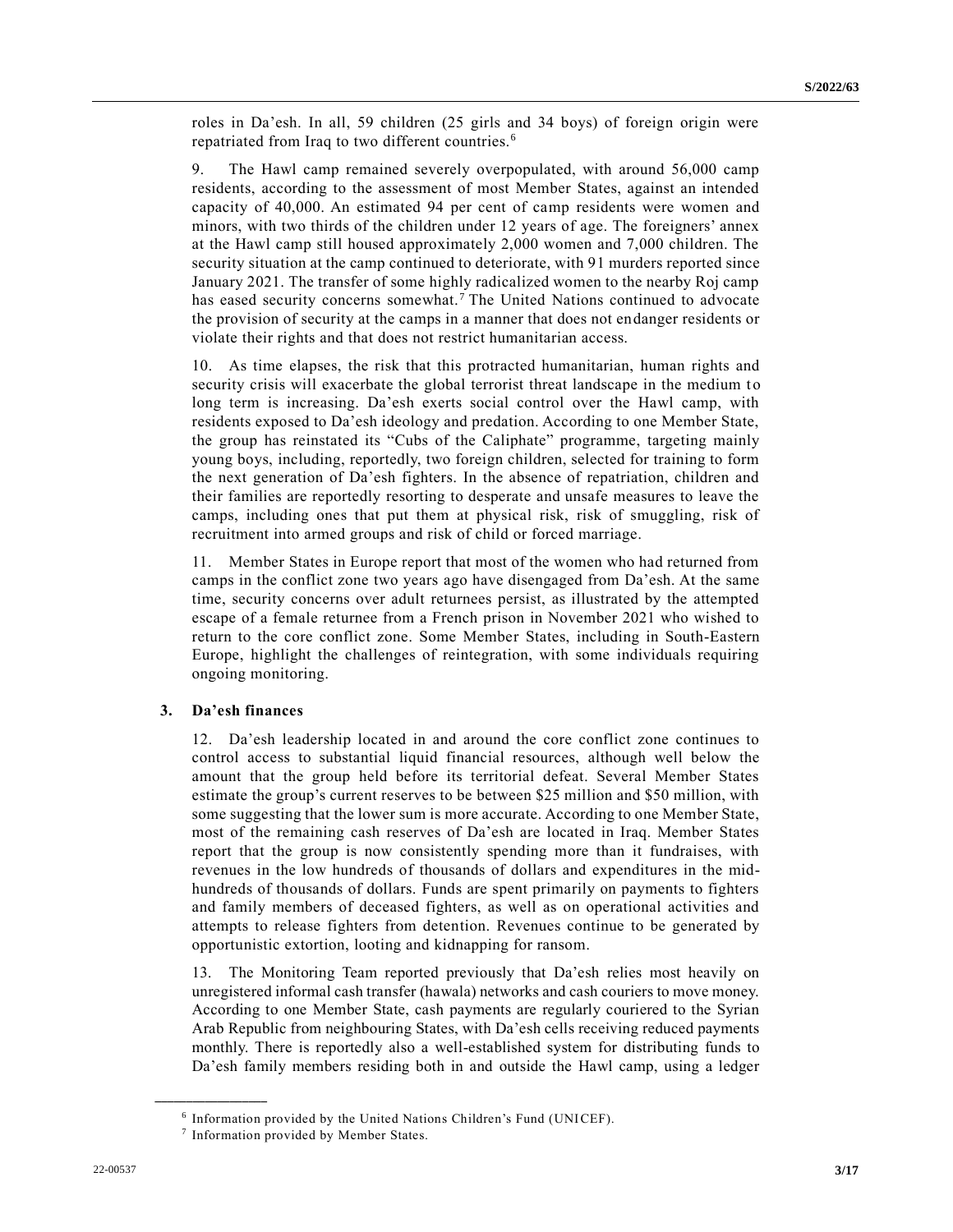roles in Da'esh. In all, 59 children (25 girls and 34 boys) of foreign origin were repatriated from Iraq to two different countries.<sup>6</sup>

9. The Hawl camp remained severely overpopulated, with around 56,000 camp residents, according to the assessment of most Member States, against an intended capacity of 40,000. An estimated 94 per cent of camp residents were women and minors, with two thirds of the children under 12 years of age. The foreigners' annex at the Hawl camp still housed approximately 2,000 women and 7,000 children. The security situation at the camp continued to deteriorate, with 91 murders reported since January 2021. The transfer of some highly radicalized women to the nearby Roj camp has eased security concerns somewhat.<sup>7</sup> The United Nations continued to advocate the provision of security at the camps in a manner that does not endanger residents or violate their rights and that does not restrict humanitarian access.

10. As time elapses, the risk that this protracted humanitarian, human rights and security crisis will exacerbate the global terrorist threat landscape in the medium to long term is increasing. Da'esh exerts social control over the Hawl camp, with residents exposed to Da'esh ideology and predation. According to one Member State, the group has reinstated its "Cubs of the Caliphate" programme, targeting mainly young boys, including, reportedly, two foreign children, selected for training to form the next generation of Da'esh fighters. In the absence of repatriation, children and their families are reportedly resorting to desperate and unsafe measures to leave the camps, including ones that put them at physical risk, risk of smuggling, risk of recruitment into armed groups and risk of child or forced marriage.

11. Member States in Europe report that most of the women who had returned from camps in the conflict zone two years ago have disengaged from Da'esh. At the same time, security concerns over adult returnees persist, as illustrated by the attempted escape of a female returnee from a French prison in November 2021 who wished to return to the core conflict zone. Some Member States, including in South-Eastern Europe, highlight the challenges of reintegration, with some individuals requiring ongoing monitoring.

### **3. Da'esh finances**

**\_\_\_\_\_\_\_\_\_\_\_\_\_\_\_\_\_\_**

12. Da'esh leadership located in and around the core conflict zone continues to control access to substantial liquid financial resources, although well below the amount that the group held before its territorial defeat. Several Member States estimate the group's current reserves to be between \$25 million and \$50 million, with some suggesting that the lower sum is more accurate. According to one Member State, most of the remaining cash reserves of Da'esh are located in Iraq. Member States report that the group is now consistently spending more than it fundraises, with revenues in the low hundreds of thousands of dollars and expenditures in the midhundreds of thousands of dollars. Funds are spent primarily on payments to fighters and family members of deceased fighters, as well as on operational activities and attempts to release fighters from detention. Revenues continue to be generated by opportunistic extortion, looting and kidnapping for ransom.

13. The Monitoring Team reported previously that Da'esh relies most heavily on unregistered informal cash transfer (hawala) networks and cash couriers to move money. According to one Member State, cash payments are regularly couriered to the Syrian Arab Republic from neighbouring States, with Da'esh cells receiving reduced payments monthly. There is reportedly also a well-established system for distributing funds to Da'esh family members residing both in and outside the Hawl camp, using a ledger

<sup>6</sup> Information provided by the United Nations Children's Fund (UNICEF).

<sup>7</sup> Information provided by Member States.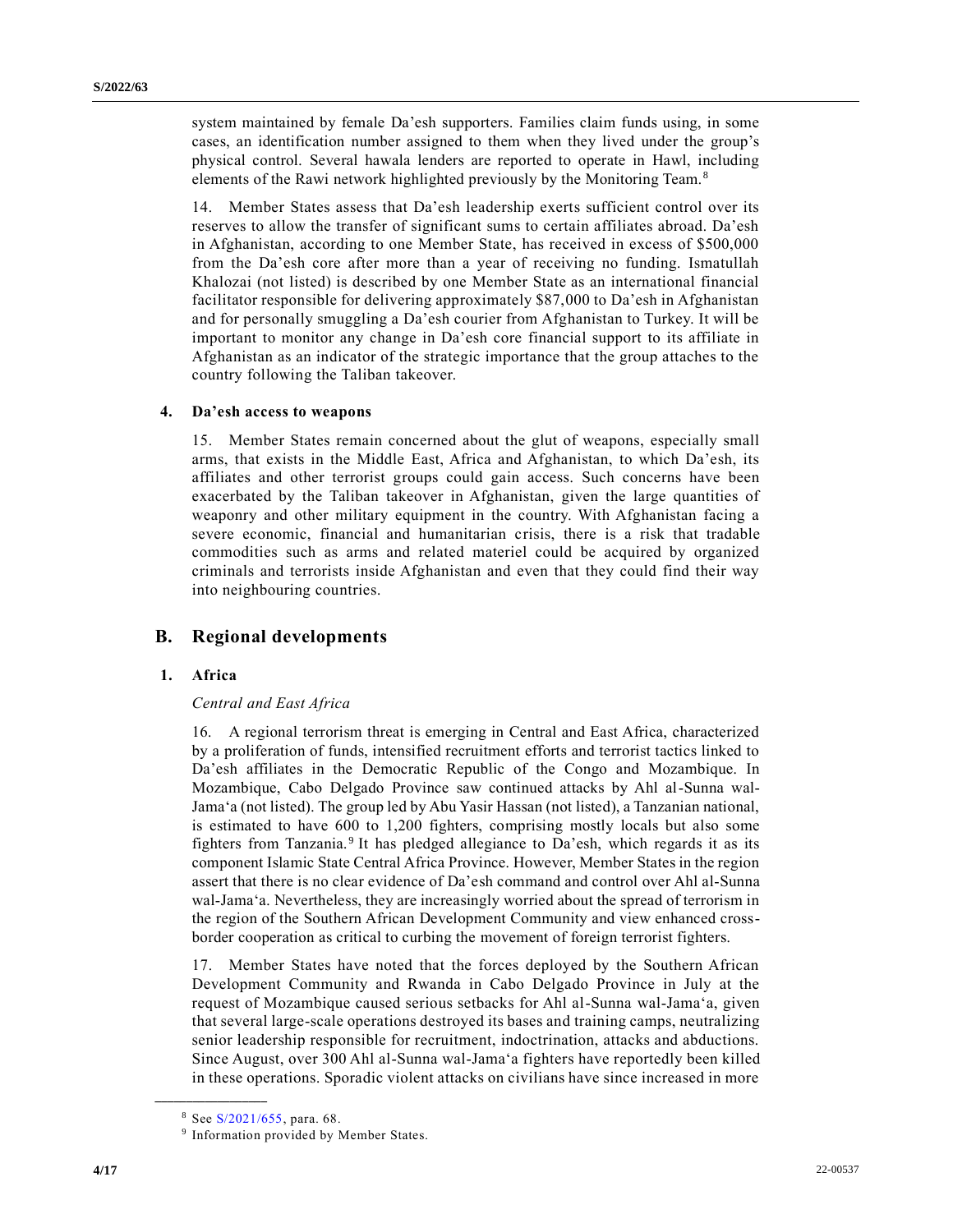system maintained by female Da'esh supporters. Families claim funds using, in some cases, an identification number assigned to them when they lived under the group's physical control. Several hawala lenders are reported to operate in Hawl, including elements of the Rawi network highlighted previously by the Monitoring Team.<sup>8</sup>

14. Member States assess that Da'esh leadership exerts sufficient control over its reserves to allow the transfer of significant sums to certain affiliates abroad. Da'esh in Afghanistan, according to one Member State, has received in excess of \$500,000 from the Da'esh core after more than a year of receiving no funding. Ismatullah Khalozai (not listed) is described by one Member State as an international financial facilitator responsible for delivering approximately \$87,000 to Da'esh in Afghanistan and for personally smuggling a Da'esh courier from Afghanistan to Turkey. It will be important to monitor any change in Da'esh core financial support to its affiliate in Afghanistan as an indicator of the strategic importance that the group attaches to the country following the Taliban takeover.

#### **4. Da'esh access to weapons**

15. Member States remain concerned about the glut of weapons, especially small arms, that exists in the Middle East, Africa and Afghanistan, to which Da'esh, its affiliates and other terrorist groups could gain access. Such concerns have been exacerbated by the Taliban takeover in Afghanistan, given the large quantities of weaponry and other military equipment in the country. With Afghanistan facing a severe economic, financial and humanitarian crisis, there is a risk that tradable commodities such as arms and related materiel could be acquired by organized criminals and terrorists inside Afghanistan and even that they could find their way into neighbouring countries.

### **B. Regional developments**

### **1. Africa**

### *Central and East Africa*

16. A regional terrorism threat is emerging in Central and East Africa, characterized by a proliferation of funds, intensified recruitment efforts and terrorist tactics linked to Da'esh affiliates in the Democratic Republic of the Congo and Mozambique. In Mozambique, Cabo Delgado Province saw continued attacks by Ahl al-Sunna wal-Jama'a (not listed). The group led by Abu Yasir Hassan (not listed), a Tanzanian national, is estimated to have 600 to 1,200 fighters, comprising mostly locals but also some fighters from Tanzania.<sup>9</sup> It has pledged allegiance to Da'esh, which regards it as its component Islamic State Central Africa Province. However, Member States in the region assert that there is no clear evidence of Da'esh command and control over Ahl al-Sunna wal-Jama'a. Nevertheless, they are increasingly worried about the spread of terrorism in the region of the Southern African Development Community and view enhanced crossborder cooperation as critical to curbing the movement of foreign terrorist fighters.

17. Member States have noted that the forces deployed by the Southern African Development Community and Rwanda in Cabo Delgado Province in July at the request of Mozambique caused serious setbacks for Ahl al-Sunna wal-Jama'a, given that several large-scale operations destroyed its bases and training camps, neutralizing senior leadership responsible for recruitment, indoctrination, attacks and abductions. Since August, over 300 Ahl al-Sunna wal-Jama'a fighters have reportedly been killed in these operations. Sporadic violent attacks on civilians have since increased in more

<sup>8</sup> See [S/2021/655,](https://undocs.org/en/S/2021/655) para. 68.

<sup>&</sup>lt;sup>9</sup> Information provided by Member States.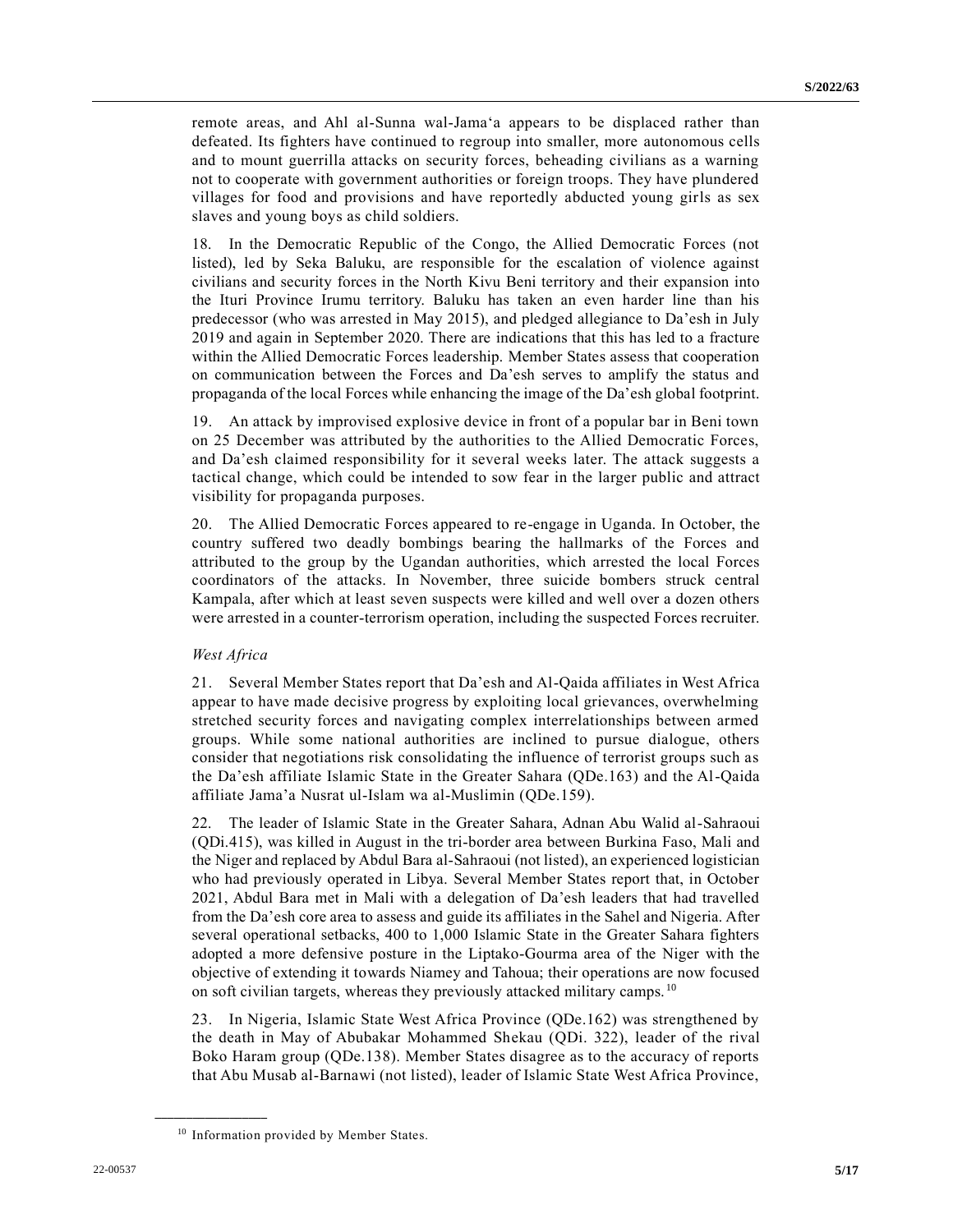remote areas, and Ahl al-Sunna wal-Jama'a appears to be displaced rather than defeated. Its fighters have continued to regroup into smaller, more autonomous cells and to mount guerrilla attacks on security forces, beheading civilians as a warning not to cooperate with government authorities or foreign troops. They have plundered villages for food and provisions and have reportedly abducted young girls as sex slaves and young boys as child soldiers.

18. In the Democratic Republic of the Congo, the Allied Democratic Forces (not listed), led by Seka Baluku, are responsible for the escalation of violence against civilians and security forces in the North Kivu Beni territory and their expansion into the Ituri Province Irumu territory. Baluku has taken an even harder line than his predecessor (who was arrested in May 2015), and pledged allegiance to Da'esh in July 2019 and again in September 2020. There are indications that this has led to a fracture within the Allied Democratic Forces leadership. Member States assess that cooperation on communication between the Forces and Da'esh serves to amplify the status and propaganda of the local Forces while enhancing the image of the Da'esh global footprint.

19. An attack by improvised explosive device in front of a popular bar in Beni town on 25 December was attributed by the authorities to the Allied Democratic Forces, and Da'esh claimed responsibility for it several weeks later. The attack suggests a tactical change, which could be intended to sow fear in the larger public and attract visibility for propaganda purposes.

20. The Allied Democratic Forces appeared to re-engage in Uganda. In October, the country suffered two deadly bombings bearing the hallmarks of the Forces and attributed to the group by the Ugandan authorities, which arrested the local Forces coordinators of the attacks. In November, three suicide bombers struck central Kampala, after which at least seven suspects were killed and well over a dozen others were arrested in a counter-terrorism operation, including the suspected Forces recruiter.

### *West Africa*

21. Several Member States report that Da'esh and Al-Qaida affiliates in West Africa appear to have made decisive progress by exploiting local grievances, overwhelming stretched security forces and navigating complex interrelationships between armed groups. While some national authorities are inclined to pursue dialogue, others consider that negotiations risk consolidating the influence of terrorist groups such as the Da'esh affiliate Islamic State in the Greater Sahara (QDe.163) and the Al-Qaida affiliate Jama'a Nusrat ul-Islam wa al-Muslimin (QDe.159).

22. The leader of Islamic State in the Greater Sahara, Adnan Abu Walid al-Sahraoui (QDi.415), was killed in August in the tri-border area between Burkina Faso, Mali and the Niger and replaced by Abdul Bara al-Sahraoui (not listed), an experienced logistician who had previously operated in Libya. Several Member States report that, in October 2021, Abdul Bara met in Mali with a delegation of Da'esh leaders that had travelled from the Da'esh core area to assess and guide its affiliates in the Sahel and Nigeria. After several operational setbacks, 400 to 1,000 Islamic State in the Greater Sahara fighters adopted a more defensive posture in the Liptako-Gourma area of the Niger with the objective of extending it towards Niamey and Tahoua; their operations are now focused on soft civilian targets, whereas they previously attacked military camps. <sup>10</sup>

23. In Nigeria, Islamic State West Africa Province (QDe.162) was strengthened by the death in May of Abubakar Mohammed Shekau (QDi. 322), leader of the rival Boko Haram group (QDe.138). Member States disagree as to the accuracy of reports that Abu Musab al-Barnawi (not listed), leader of Islamic State West Africa Province,

<sup>&</sup>lt;sup>10</sup> Information provided by Member States.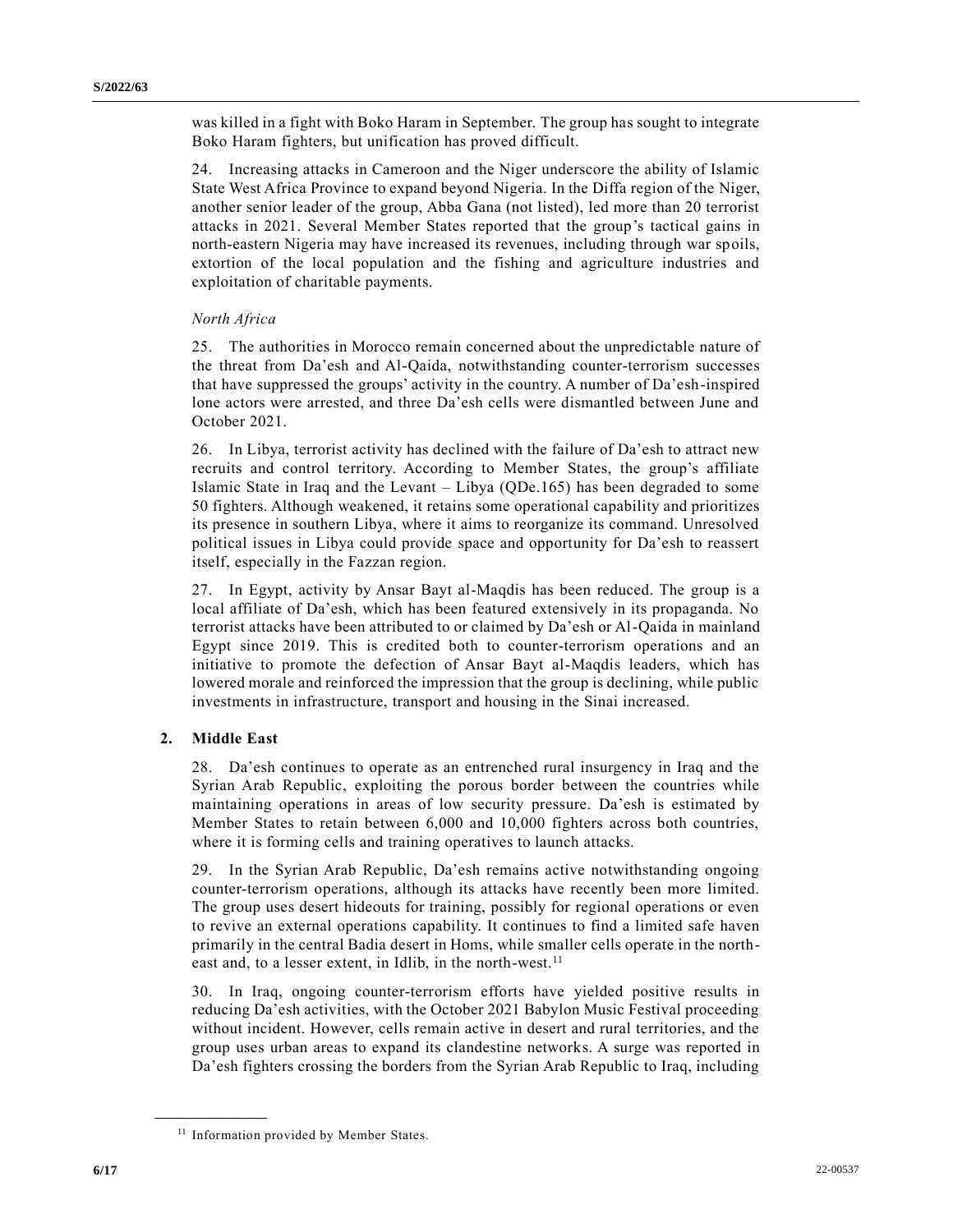was killed in a fight with Boko Haram in September. The group has sought to integrate Boko Haram fighters, but unification has proved difficult.

24. Increasing attacks in Cameroon and the Niger underscore the ability of Islamic State West Africa Province to expand beyond Nigeria. In the Diffa region of the Niger, another senior leader of the group, Abba Gana (not listed), led more than 20 terrorist attacks in 2021. Several Member States reported that the group's tactical gains in north-eastern Nigeria may have increased its revenues, including through war spoils, extortion of the local population and the fishing and agriculture industries and exploitation of charitable payments.

### *North Africa*

25. The authorities in Morocco remain concerned about the unpredictable nature of the threat from Da'esh and Al-Qaida, notwithstanding counter-terrorism successes that have suppressed the groups' activity in the country. A number of Da'esh-inspired lone actors were arrested, and three Da'esh cells were dismantled between June and October 2021.

26. In Libya, terrorist activity has declined with the failure of Da'esh to attract new recruits and control territory. According to Member States, the group's affiliate Islamic State in Iraq and the Levant – Libya (QDe.165) has been degraded to some 50 fighters. Although weakened, it retains some operational capability and prioritizes its presence in southern Libya, where it aims to reorganize its command. Unresolved political issues in Libya could provide space and opportunity for Da'esh to reassert itself, especially in the Fazzan region.

27. In Egypt, activity by Ansar Bayt al-Maqdis has been reduced. The group is a local affiliate of Da'esh, which has been featured extensively in its propaganda. No terrorist attacks have been attributed to or claimed by Da'esh or Al-Qaida in mainland Egypt since 2019. This is credited both to counter-terrorism operations and an initiative to promote the defection of Ansar Bayt al-Maqdis leaders, which has lowered morale and reinforced the impression that the group is declining, while public investments in infrastructure, transport and housing in the Sinai increased.

### **2. Middle East**

**\_\_\_\_\_\_\_\_\_\_\_\_\_\_\_\_\_\_**

28. Da'esh continues to operate as an entrenched rural insurgency in Iraq and the Syrian Arab Republic, exploiting the porous border between the countries while maintaining operations in areas of low security pressure. Da'esh is estimated by Member States to retain between 6,000 and 10,000 fighters across both countries, where it is forming cells and training operatives to launch attacks.

29. In the Syrian Arab Republic, Da'esh remains active notwithstanding ongoing counter-terrorism operations, although its attacks have recently been more limited. The group uses desert hideouts for training, possibly for regional operations or even to revive an external operations capability. It continues to find a limited safe haven primarily in the central Badia desert in Homs, while smaller cells operate in the northeast and, to a lesser extent, in Idlib, in the north-west.<sup>11</sup>

30. In Iraq, ongoing counter-terrorism efforts have yielded positive results in reducing Da'esh activities, with the October 2021 Babylon Music Festival proceeding without incident. However, cells remain active in desert and rural territories, and the group uses urban areas to expand its clandestine networks. A surge was reported in Da'esh fighters crossing the borders from the Syrian Arab Republic to Iraq, including

<sup>&</sup>lt;sup>11</sup> Information provided by Member States.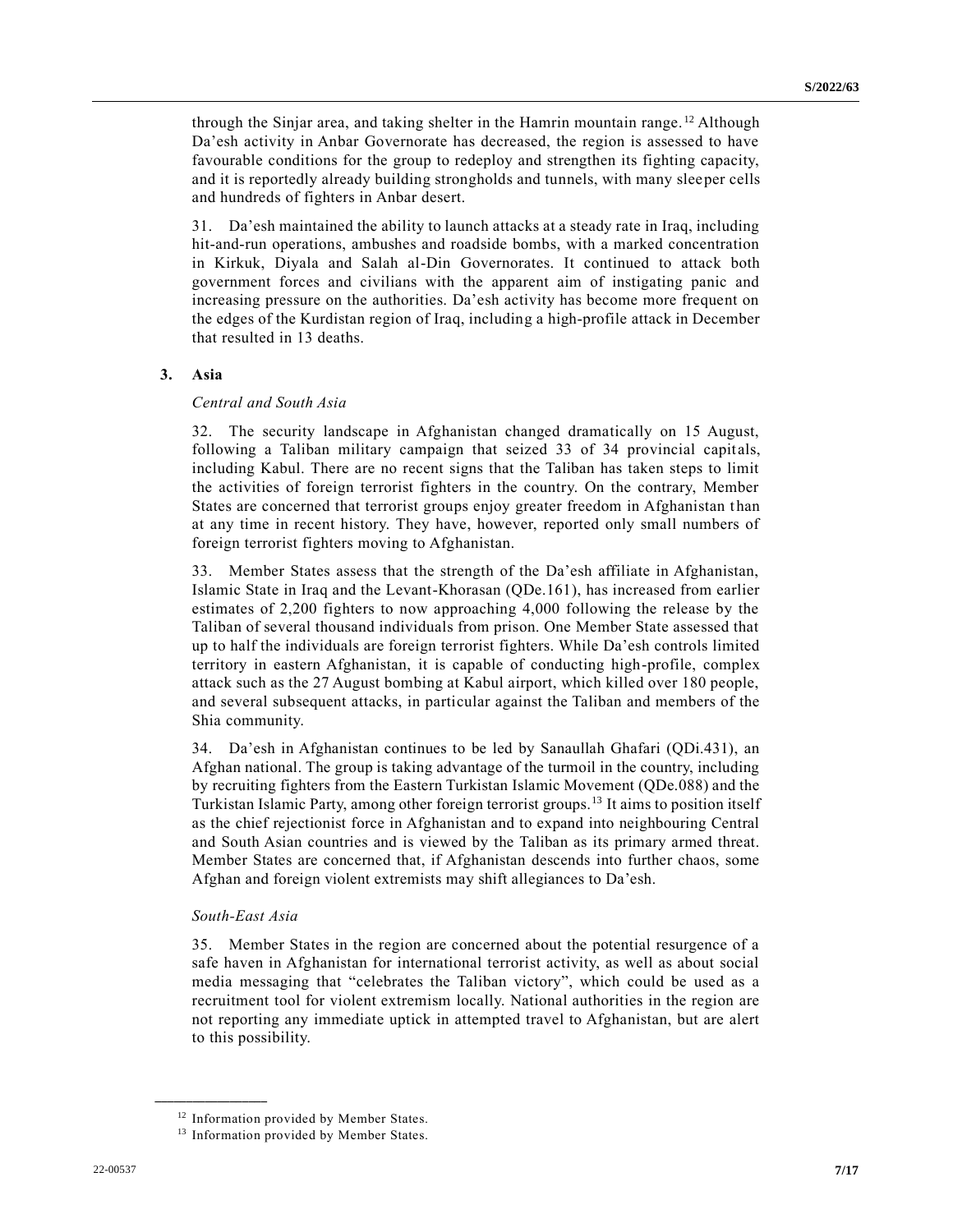through the Sinjar area, and taking shelter in the Hamrin mountain range. <sup>12</sup> Although Da'esh activity in Anbar Governorate has decreased, the region is assessed to have favourable conditions for the group to redeploy and strengthen its fighting capacity, and it is reportedly already building strongholds and tunnels, with many sleeper cells and hundreds of fighters in Anbar desert.

31. Da'esh maintained the ability to launch attacks at a steady rate in Iraq, including hit-and-run operations, ambushes and roadside bombs, with a marked concentration in Kirkuk, Diyala and Salah al-Din Governorates. It continued to attack both government forces and civilians with the apparent aim of instigating panic and increasing pressure on the authorities. Da'esh activity has become more frequent on the edges of the Kurdistan region of Iraq, including a high-profile attack in December that resulted in 13 deaths.

### **3. Asia**

### *Central and South Asia*

32. The security landscape in Afghanistan changed dramatically on 15 August, following a Taliban military campaign that seized 33 of 34 provincial capitals, including Kabul. There are no recent signs that the Taliban has taken steps to limit the activities of foreign terrorist fighters in the country. On the contrary, Member States are concerned that terrorist groups enjoy greater freedom in Afghanistan than at any time in recent history. They have, however, reported only small numbers of foreign terrorist fighters moving to Afghanistan.

33. Member States assess that the strength of the Da'esh affiliate in Afghanistan, Islamic State in Iraq and the Levant-Khorasan (QDe.161), has increased from earlier estimates of 2,200 fighters to now approaching 4,000 following the release by the Taliban of several thousand individuals from prison. One Member State assessed that up to half the individuals are foreign terrorist fighters. While Da'esh controls limited territory in eastern Afghanistan, it is capable of conducting high-profile, complex attack such as the 27 August bombing at Kabul airport, which killed over 180 people, and several subsequent attacks, in particular against the Taliban and members of the Shia community.

34. Da'esh in Afghanistan continues to be led by Sanaullah Ghafari (QDi.431), an Afghan national. The group is taking advantage of the turmoil in the country, including by recruiting fighters from the Eastern Turkistan Islamic Movement (QDe.088) and the Turkistan Islamic Party, among other foreign terrorist groups.<sup>13</sup> It aims to position itself as the chief rejectionist force in Afghanistan and to expand into neighbouring Central and South Asian countries and is viewed by the Taliban as its primary armed threat. Member States are concerned that, if Afghanistan descends into further chaos, some Afghan and foreign violent extremists may shift allegiances to Da'esh.

#### *South-East Asia*

**\_\_\_\_\_\_\_\_\_\_\_\_\_\_\_\_\_\_**

35. Member States in the region are concerned about the potential resurgence of a safe haven in Afghanistan for international terrorist activity, as well as about social media messaging that "celebrates the Taliban victory", which could be used as a recruitment tool for violent extremism locally. National authorities in the region are not reporting any immediate uptick in attempted travel to Afghanistan, but are alert to this possibility.

<sup>&</sup>lt;sup>12</sup> Information provided by Member States.

<sup>&</sup>lt;sup>13</sup> Information provided by Member States.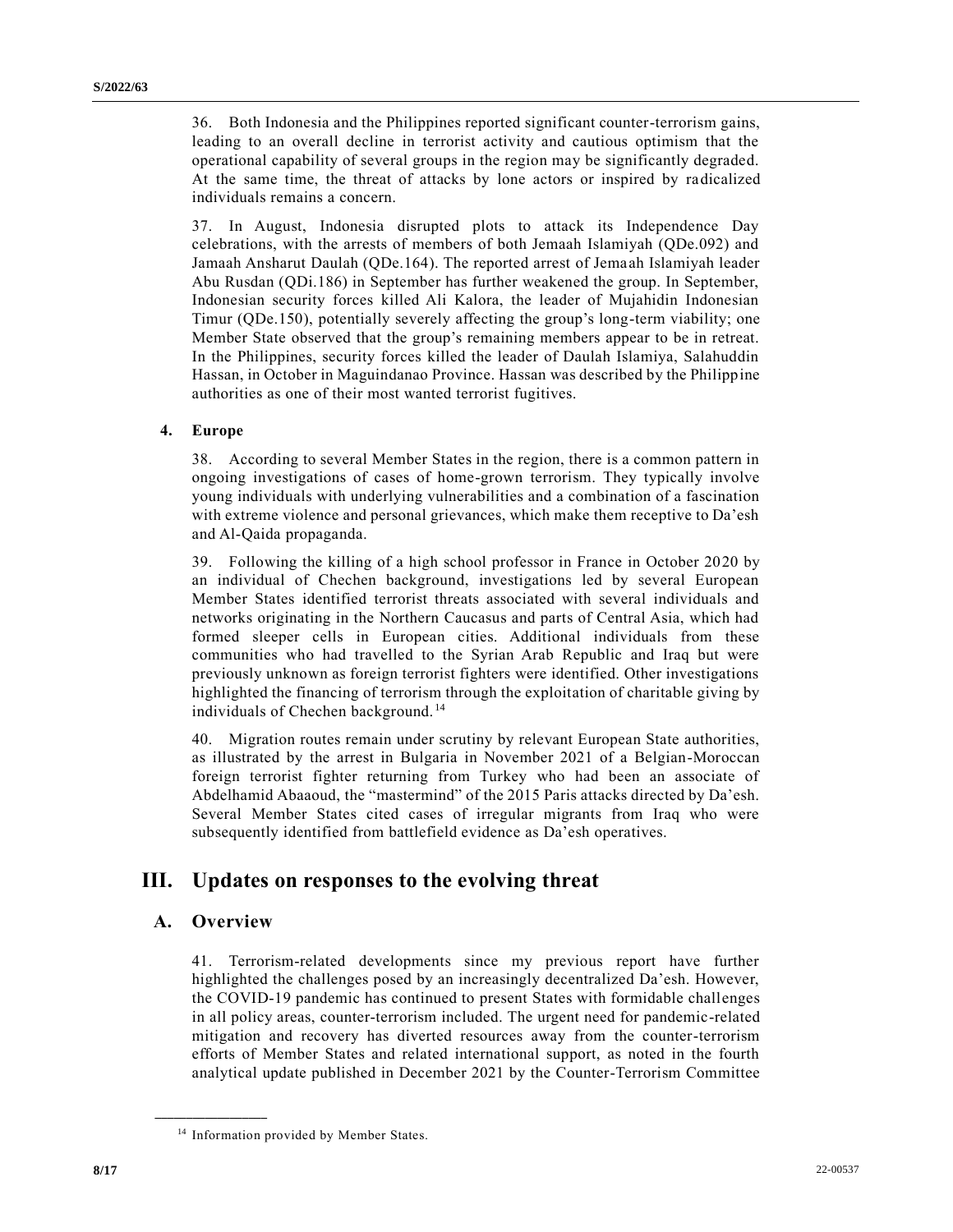36. Both Indonesia and the Philippines reported significant counter-terrorism gains, leading to an overall decline in terrorist activity and cautious optimism that the operational capability of several groups in the region may be significantly degraded. At the same time, the threat of attacks by lone actors or inspired by radicalized individuals remains a concern.

37. In August, Indonesia disrupted plots to attack its Independence Day celebrations, with the arrests of members of both Jemaah Islamiyah (QDe.092) and Jamaah Ansharut Daulah (QDe.164). The reported arrest of Jemaah Islamiyah leader Abu Rusdan (QDi.186) in September has further weakened the group. In September, Indonesian security forces killed Ali Kalora, the leader of Mujahidin Indonesian Timur (QDe.150), potentially severely affecting the group's long-term viability; one Member State observed that the group's remaining members appear to be in retreat. In the Philippines, security forces killed the leader of Daulah Islamiya, Salahuddin Hassan, in October in Maguindanao Province. Hassan was described by the Philippine authorities as one of their most wanted terrorist fugitives.

#### **4. Europe**

38. According to several Member States in the region, there is a common pattern in ongoing investigations of cases of home-grown terrorism. They typically involve young individuals with underlying vulnerabilities and a combination of a fascination with extreme violence and personal grievances, which make them receptive to Da'esh and Al-Qaida propaganda.

39. Following the killing of a high school professor in France in October 2020 by an individual of Chechen background, investigations led by several European Member States identified terrorist threats associated with several individuals and networks originating in the Northern Caucasus and parts of Central Asia, which had formed sleeper cells in European cities. Additional individuals from these communities who had travelled to the Syrian Arab Republic and Iraq but were previously unknown as foreign terrorist fighters were identified. Other investigations highlighted the financing of terrorism through the exploitation of charitable giving by individuals of Chechen background. <sup>14</sup>

40. Migration routes remain under scrutiny by relevant European State authorities, as illustrated by the arrest in Bulgaria in November 2021 of a Belgian-Moroccan foreign terrorist fighter returning from Turkey who had been an associate of Abdelhamid Abaaoud, the "mastermind" of the 2015 Paris attacks directed by Da'esh. Several Member States cited cases of irregular migrants from Iraq who were subsequently identified from battlefield evidence as Da'esh operatives.

## **III. Updates on responses to the evolving threat**

### **A. Overview**

**\_\_\_\_\_\_\_\_\_\_\_\_\_\_\_\_\_\_**

41. Terrorism-related developments since my previous report have further highlighted the challenges posed by an increasingly decentralized Da'esh. However, the COVID-19 pandemic has continued to present States with formidable challenges in all policy areas, counter-terrorism included. The urgent need for pandemic-related mitigation and recovery has diverted resources away from the counter-terrorism efforts of Member States and related international support, as noted in the fourth analytical update published in December 2021 by the Counter-Terrorism Committee

<sup>&</sup>lt;sup>14</sup> Information provided by Member States.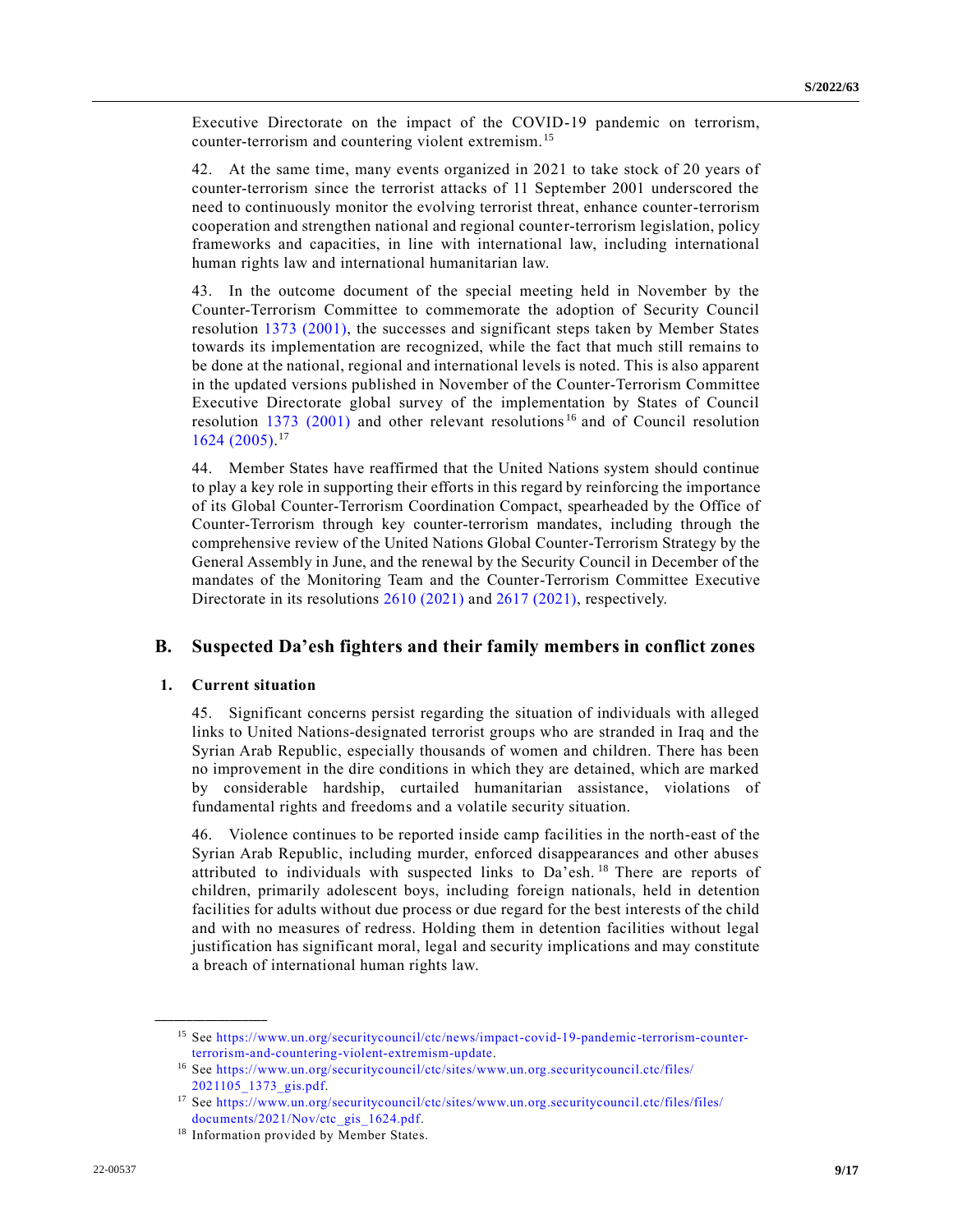Executive Directorate on the impact of the COVID-19 pandemic on terrorism, counter-terrorism and countering violent extremism.<sup>15</sup>

42. At the same time, many events organized in 2021 to take stock of 20 years of counter-terrorism since the terrorist attacks of 11 September 2001 underscored the need to continuously monitor the evolving terrorist threat, enhance counter-terrorism cooperation and strengthen national and regional counter-terrorism legislation, policy frameworks and capacities, in line with international law, including international human rights law and international humanitarian law.

43. In the outcome document of the special meeting held in November by the Counter-Terrorism Committee to commemorate the adoption of Security Council resolution [1373 \(2001\),](https://undocs.org/en/S/RES/1373(2001)) the successes and significant steps taken by Member States towards its implementation are recognized, while the fact that much still remains to be done at the national, regional and international levels is noted. This is also apparent in the updated versions published in November of the Counter-Terrorism Committee Executive Directorate global survey of the implementation by States of Council resolution [1373 \(2001\)](https://undocs.org/en/S/RES/1373(2001)) and other relevant resolutions<sup>16</sup> and of Council resolution [1624 \(2005\).](https://undocs.org/en/S/RES/1624(2005)) 17

44. Member States have reaffirmed that the United Nations system should continue to play a key role in supporting their efforts in this regard by reinforcing the importance of its Global Counter-Terrorism Coordination Compact, spearheaded by the Office of Counter-Terrorism through key counter-terrorism mandates, including through the comprehensive review of the United Nations Global Counter-Terrorism Strategy by the General Assembly in June, and the renewal by the Security Council in December of the mandates of the Monitoring Team and the Counter-Terrorism Committee Executive Directorate in its resolutions [2610 \(2021\)](https://undocs.org/en/S/RES/2610(2021)) an[d 2617 \(2021\),](https://undocs.org/en/S/RES/2617(2021)) respectively.

### **B. Suspected Da'esh fighters and their family members in conflict zones**

#### **1. Current situation**

**\_\_\_\_\_\_\_\_\_\_\_\_\_\_\_\_\_\_**

45. Significant concerns persist regarding the situation of individuals with alleged links to United Nations-designated terrorist groups who are stranded in Iraq and the Syrian Arab Republic, especially thousands of women and children. There has been no improvement in the dire conditions in which they are detained, which are marked by considerable hardship, curtailed humanitarian assistance, violations of fundamental rights and freedoms and a volatile security situation.

46. Violence continues to be reported inside camp facilities in the north-east of the Syrian Arab Republic, including murder, enforced disappearances and other abuses attributed to individuals with suspected links to Da'esh.<sup>18</sup> There are reports of children, primarily adolescent boys, including foreign nationals, held in detention facilities for adults without due process or due regard for the best interests of the child and with no measures of redress. Holding them in detention facilities without legal justification has significant moral, legal and security implications and may constitute a breach of international human rights law.

<sup>15</sup> See [https://www.un.org/securitycouncil/ctc/news/impact-covid-19-pandemic-terrorism-counter](https://www.un.org/securitycouncil/ctc/news/impact-covid-19-pandemic-terrorism-counter-terrorism-and-countering-violent-extremism-update)[terrorism-and-countering-violent-extremism-update.](https://www.un.org/securitycouncil/ctc/news/impact-covid-19-pandemic-terrorism-counter-terrorism-and-countering-violent-extremism-update)

<sup>16</sup> See [https://www.un.org/securitycouncil/ctc/sites/www.un.org.securitycouncil.ctc/files/](https://www.un.org/securitycouncil/ctc/sites/www.un.org.securitycouncil.ctc/files/2021105_1373_gis.pdf) [2021105\\_1373\\_gis.pdf.](https://www.un.org/securitycouncil/ctc/sites/www.un.org.securitycouncil.ctc/files/2021105_1373_gis.pdf)

<sup>17</sup> See [https://www.un.org/securitycouncil/ctc/sites/www.un.org.securitycouncil.ctc/files/files/](https://www.un.org/securitycouncil/ctc/sites/www.un.org.securitycouncil.ctc/files/files/documents/2021/Nov/ctc_gis_1624.pdf) [documents/2021/Nov/ctc\\_gis\\_1624.pdf.](https://www.un.org/securitycouncil/ctc/sites/www.un.org.securitycouncil.ctc/files/files/documents/2021/Nov/ctc_gis_1624.pdf)

<sup>&</sup>lt;sup>18</sup> Information provided by Member States.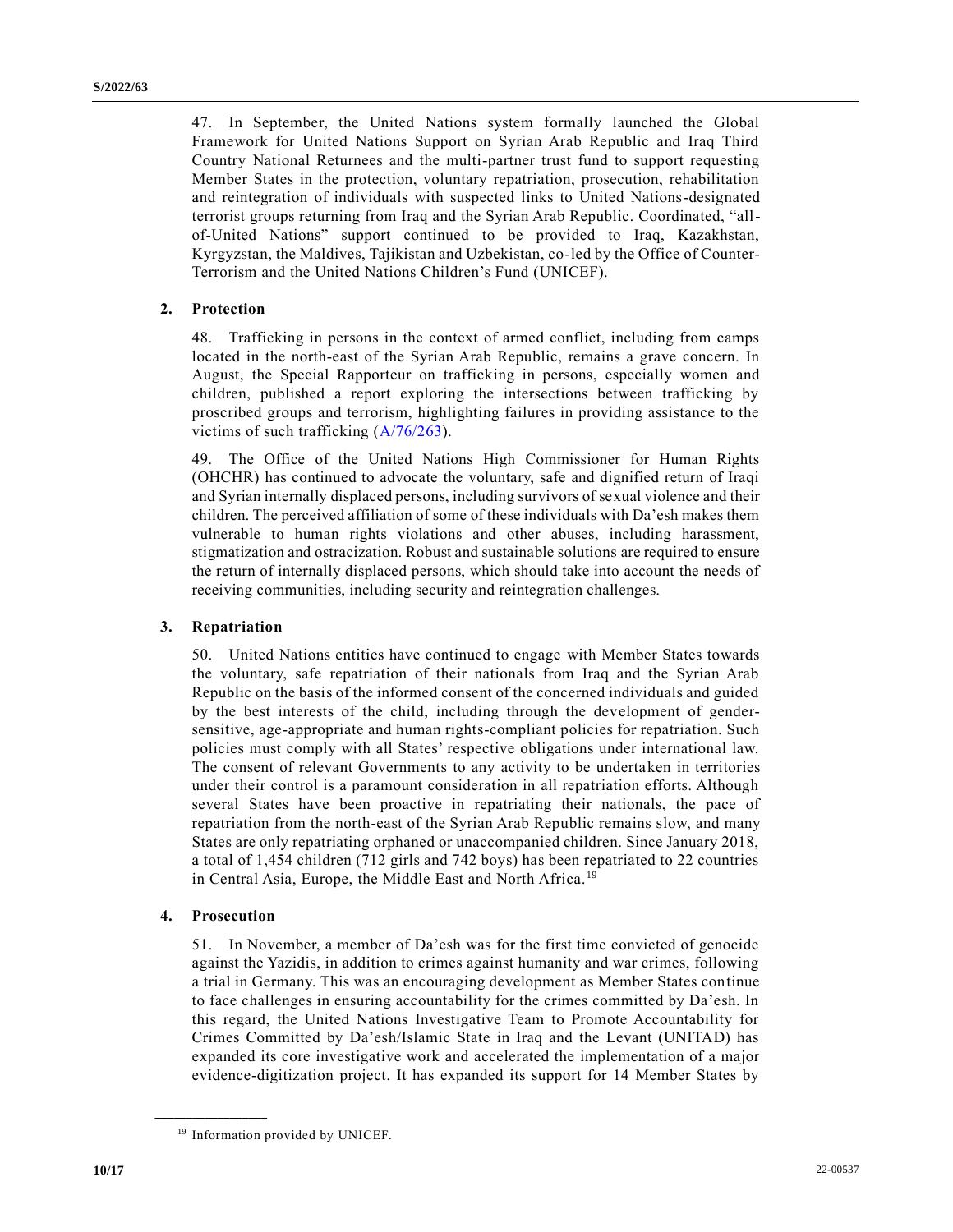47. In September, the United Nations system formally launched the Global Framework for United Nations Support on Syrian Arab Republic and Iraq Third Country National Returnees and the multi-partner trust fund to support requesting Member States in the protection, voluntary repatriation, prosecution, rehabilitation and reintegration of individuals with suspected links to United Nations-designated terrorist groups returning from Iraq and the Syrian Arab Republic. Coordinated, "allof-United Nations" support continued to be provided to Iraq, Kazakhstan, Kyrgyzstan, the Maldives, Tajikistan and Uzbekistan, co-led by the Office of Counter-Terrorism and the United Nations Children's Fund (UNICEF).

### **2. Protection**

48. Trafficking in persons in the context of armed conflict, including from camps located in the north-east of the Syrian Arab Republic, remains a grave concern. In August, the Special Rapporteur on trafficking in persons, especially women and children, published a report exploring the intersections between trafficking by proscribed groups and terrorism, highlighting failures in providing assistance to the victims of such trafficking [\(A/76/263\)](https://undocs.org/en/A/76/263).

49. The Office of the United Nations High Commissioner for Human Rights (OHCHR) has continued to advocate the voluntary, safe and dignified return of Iraqi and Syrian internally displaced persons, including survivors of sexual violence and their children. The perceived affiliation of some of these individuals with Da'esh makes them vulnerable to human rights violations and other abuses, including harassment, stigmatization and ostracization. Robust and sustainable solutions are required to ensure the return of internally displaced persons, which should take into account the needs of receiving communities, including security and reintegration challenges.

### **3. Repatriation**

50. United Nations entities have continued to engage with Member States towards the voluntary, safe repatriation of their nationals from Iraq and the Syrian Arab Republic on the basis of the informed consent of the concerned individuals and guided by the best interests of the child, including through the development of gendersensitive, age-appropriate and human rights-compliant policies for repatriation. Such policies must comply with all States' respective obligations under international law. The consent of relevant Governments to any activity to be undertaken in territories under their control is a paramount consideration in all repatriation efforts. Although several States have been proactive in repatriating their nationals, the pace of repatriation from the north-east of the Syrian Arab Republic remains slow, and many States are only repatriating orphaned or unaccompanied children. Since January 2018, a total of 1,454 children (712 girls and 742 boys) has been repatriated to 22 countries in Central Asia, Europe, the Middle East and North Africa.<sup>19</sup>

### **4. Prosecution**

**\_\_\_\_\_\_\_\_\_\_\_\_\_\_\_\_\_\_**

51. In November, a member of Da'esh was for the first time convicted of genocide against the Yazidis, in addition to crimes against humanity and war crimes, following a trial in Germany. This was an encouraging development as Member States continue to face challenges in ensuring accountability for the crimes committed by Da'esh. In this regard, the United Nations Investigative Team to Promote Accountability for Crimes Committed by Da'esh/Islamic State in Iraq and the Levant (UNITAD) has expanded its core investigative work and accelerated the implementation of a major evidence-digitization project. It has expanded its support for 14 Member States by

<sup>&</sup>lt;sup>19</sup> Information provided by UNICEF.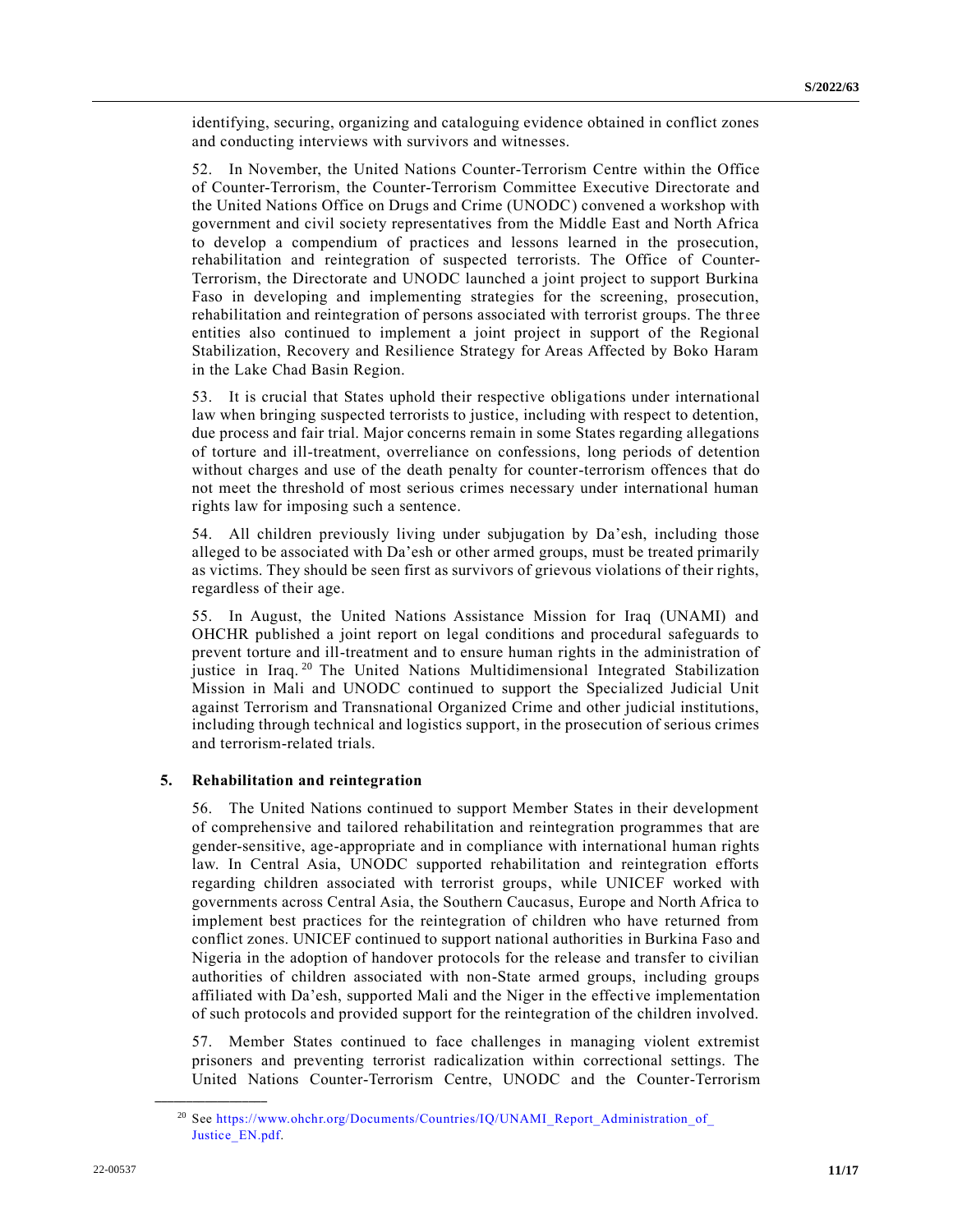identifying, securing, organizing and cataloguing evidence obtained in conflict zones and conducting interviews with survivors and witnesses.

52. In November, the United Nations Counter-Terrorism Centre within the Office of Counter-Terrorism, the Counter-Terrorism Committee Executive Directorate and the United Nations Office on Drugs and Crime (UNODC) convened a workshop with government and civil society representatives from the Middle East and North Africa to develop a compendium of practices and lessons learned in the prosecution, rehabilitation and reintegration of suspected terrorists. The Office of Counter-Terrorism, the Directorate and UNODC launched a joint project to support Burkina Faso in developing and implementing strategies for the screening, prosecution, rehabilitation and reintegration of persons associated with terrorist groups. The three entities also continued to implement a joint project in support of the Regional Stabilization, Recovery and Resilience Strategy for Areas Affected by Boko Haram in the Lake Chad Basin Region.

53. It is crucial that States uphold their respective obligations under international law when bringing suspected terrorists to justice, including with respect to detention, due process and fair trial. Major concerns remain in some States regarding allegations of torture and ill-treatment, overreliance on confessions, long periods of detention without charges and use of the death penalty for counter-terrorism offences that do not meet the threshold of most serious crimes necessary under international human rights law for imposing such a sentence.

54. All children previously living under subjugation by Da'esh, including those alleged to be associated with Da'esh or other armed groups, must be treated primarily as victims. They should be seen first as survivors of grievous violations of their rights, regardless of their age.

55. In August, the United Nations Assistance Mission for Iraq (UNAMI) and OHCHR published a joint report on legal conditions and procedural safeguards to prevent torture and ill-treatment and to ensure human rights in the administration of justice in Iraq.<sup>20</sup> The United Nations Multidimensional Integrated Stabilization Mission in Mali and UNODC continued to support the Specialized Judicial Unit against Terrorism and Transnational Organized Crime and other judicial institutions, including through technical and logistics support, in the prosecution of serious crimes and terrorism-related trials.

#### **5. Rehabilitation and reintegration**

56. The United Nations continued to support Member States in their development of comprehensive and tailored rehabilitation and reintegration programmes that are gender-sensitive, age-appropriate and in compliance with international human rights law. In Central Asia, UNODC supported rehabilitation and reintegration efforts regarding children associated with terrorist groups, while UNICEF worked with governments across Central Asia, the Southern Caucasus, Europe and North Africa to implement best practices for the reintegration of children who have returned from conflict zones. UNICEF continued to support national authorities in Burkina Faso and Nigeria in the adoption of handover protocols for the release and transfer to civilian authorities of children associated with non-State armed groups, including groups affiliated with Da'esh, supported Mali and the Niger in the effective implementation of such protocols and provided support for the reintegration of the children involved.

57. Member States continued to face challenges in managing violent extremist prisoners and preventing terrorist radicalization within correctional settings. The United Nations Counter-Terrorism Centre, UNODC and the Counter-Terrorism

<sup>&</sup>lt;sup>20</sup> See [https://www.ohchr.org/Documents/Countries/IQ/UNAMI\\_Report\\_Administration\\_of\\_](https://www.ohchr.org/Documents/Countries/IQ/UNAMI_Report_Administration_of_Justice_EN.pdf) [Justice\\_EN.pdf.](https://www.ohchr.org/Documents/Countries/IQ/UNAMI_Report_Administration_of_Justice_EN.pdf)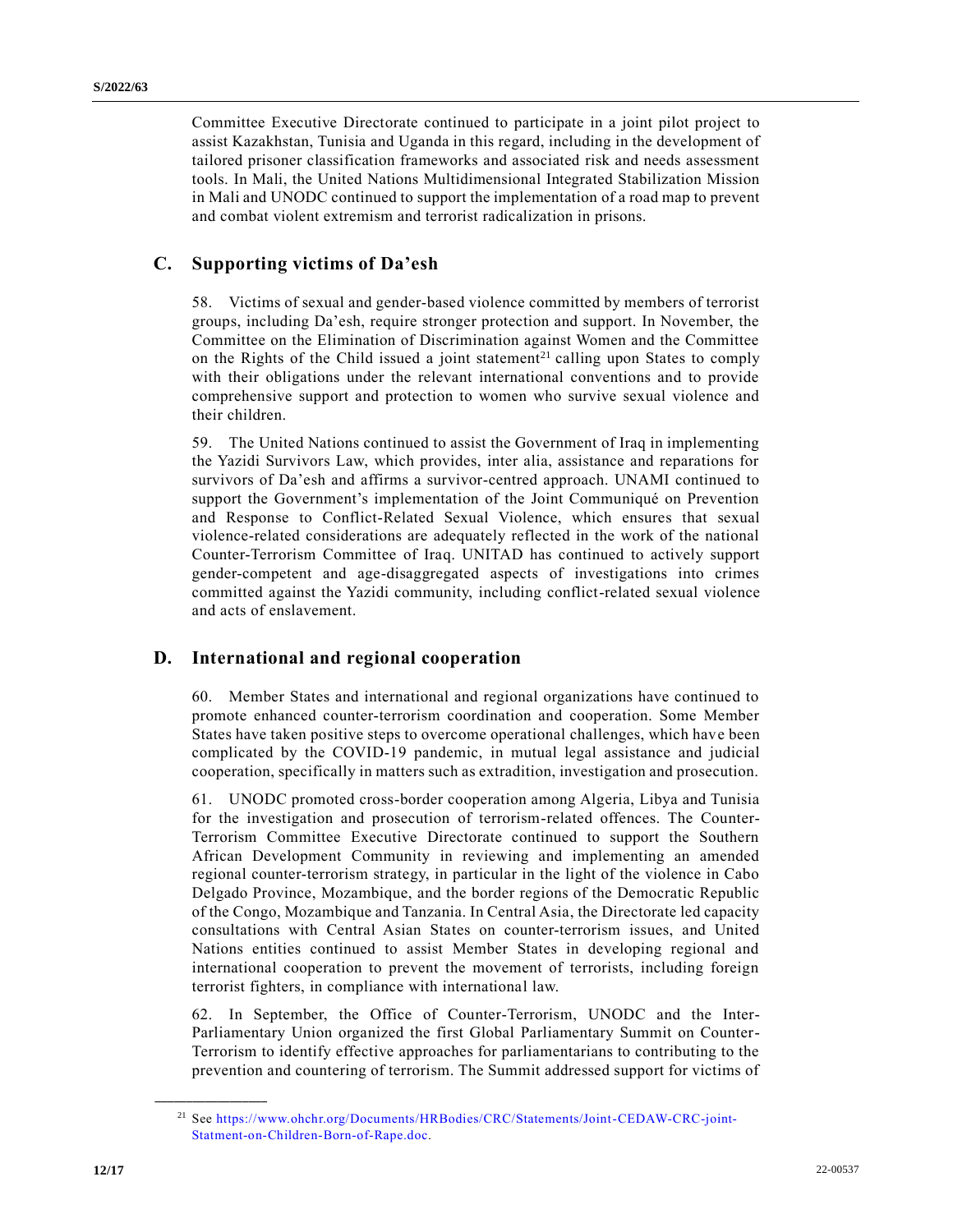Committee Executive Directorate continued to participate in a joint pilot project to assist Kazakhstan, Tunisia and Uganda in this regard, including in the development of tailored prisoner classification frameworks and associated risk and needs assessment tools. In Mali, the United Nations Multidimensional Integrated Stabilization Mission in Mali and UNODC continued to support the implementation of a road map to prevent and combat violent extremism and terrorist radicalization in prisons.

## **C. Supporting victims of Da'esh**

58. Victims of sexual and gender-based violence committed by members of terrorist groups, including Da'esh, require stronger protection and support. In November, the Committee on the Elimination of Discrimination against Women and the Committee on the Rights of the Child issued a joint statement<sup>21</sup> calling upon States to comply with their obligations under the relevant international conventions and to provide comprehensive support and protection to women who survive sexual violence and their children.

59. The United Nations continued to assist the Government of Iraq in implementing the Yazidi Survivors Law, which provides, inter alia, assistance and reparations for survivors of Da'esh and affirms a survivor-centred approach. UNAMI continued to support the Government's implementation of the Joint Communiqué on Prevention and Response to Conflict-Related Sexual Violence, which ensures that sexual violence-related considerations are adequately reflected in the work of the national Counter-Terrorism Committee of Iraq. UNITAD has continued to actively support gender-competent and age-disaggregated aspects of investigations into crimes committed against the Yazidi community, including conflict-related sexual violence and acts of enslavement.

## **D. International and regional cooperation**

60. Member States and international and regional organizations have continued to promote enhanced counter-terrorism coordination and cooperation. Some Member States have taken positive steps to overcome operational challenges, which have been complicated by the COVID-19 pandemic, in mutual legal assistance and judicial cooperation, specifically in matters such as extradition, investigation and prosecution.

61. UNODC promoted cross-border cooperation among Algeria, Libya and Tunisia for the investigation and prosecution of terrorism-related offences. The Counter-Terrorism Committee Executive Directorate continued to support the Southern African Development Community in reviewing and implementing an amended regional counter-terrorism strategy, in particular in the light of the violence in Cabo Delgado Province, Mozambique, and the border regions of the Democratic Republic of the Congo, Mozambique and Tanzania. In Central Asia, the Directorate led capacity consultations with Central Asian States on counter-terrorism issues, and United Nations entities continued to assist Member States in developing regional and international cooperation to prevent the movement of terrorists, including foreign terrorist fighters, in compliance with international law.

62. In September, the Office of Counter-Terrorism, UNODC and the Inter-Parliamentary Union organized the first Global Parliamentary Summit on Counter-Terrorism to identify effective approaches for parliamentarians to contributing to the prevention and countering of terrorism. The Summit addressed support for victims of

<sup>21</sup> See [https://www.ohchr.org/Documents/HRBodies/CRC/Statements/Joint-CEDAW-CRC-joint-](https://www.ohchr.org/Documents/HRBodies/CRC/Statements/Joint-CEDAW-CRC-joint-Statment-on-Children-Born-of-Rape.doc)[Statment-on-Children-Born-of-Rape.doc.](https://www.ohchr.org/Documents/HRBodies/CRC/Statements/Joint-CEDAW-CRC-joint-Statment-on-Children-Born-of-Rape.doc)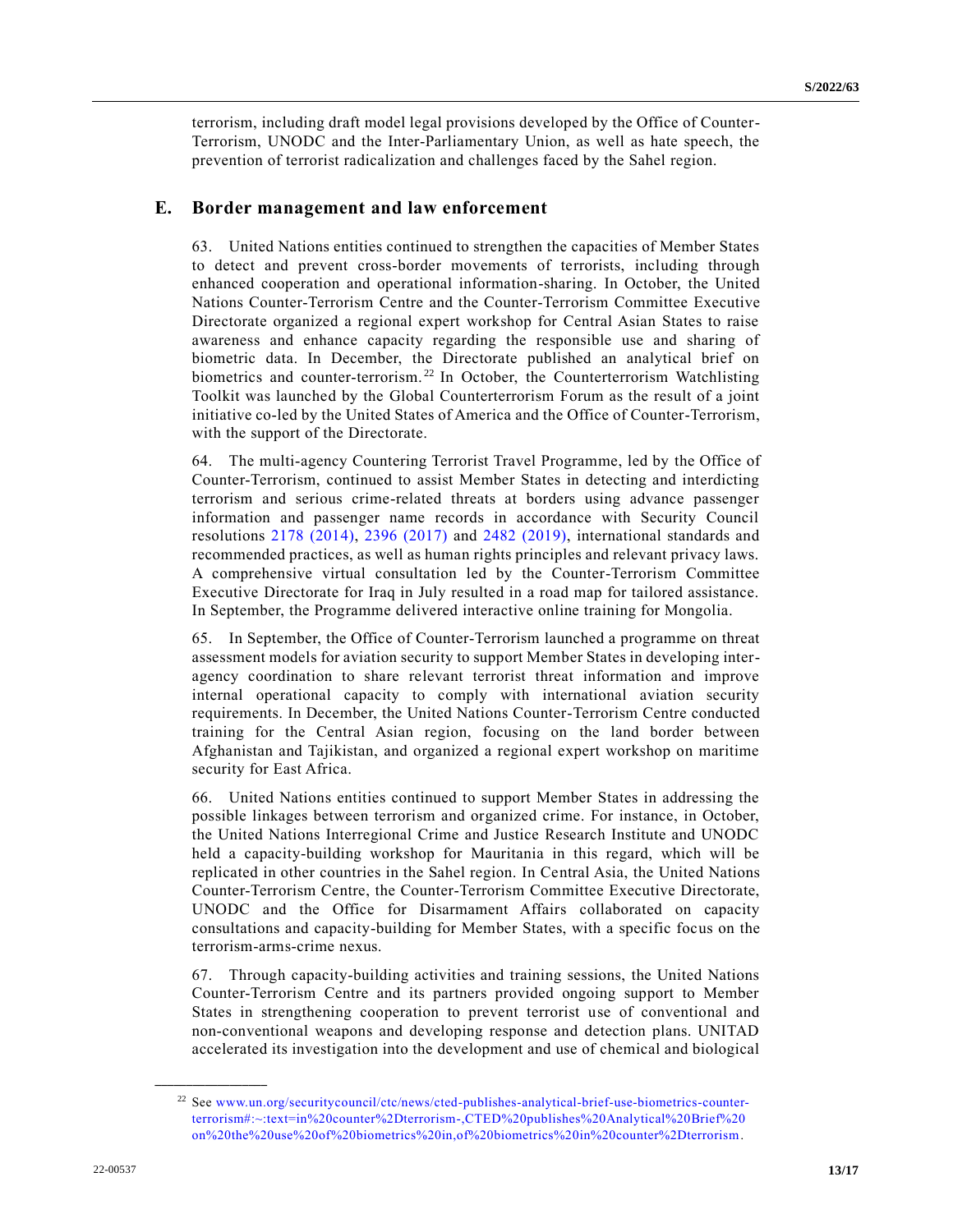terrorism, including draft model legal provisions developed by the Office of Counter-Terrorism, UNODC and the Inter-Parliamentary Union, as well as hate speech, the prevention of terrorist radicalization and challenges faced by the Sahel region.

### **E. Border management and law enforcement**

63. United Nations entities continued to strengthen the capacities of Member States to detect and prevent cross-border movements of terrorists, including through enhanced cooperation and operational information-sharing. In October, the United Nations Counter-Terrorism Centre and the Counter-Terrorism Committee Executive Directorate organized a regional expert workshop for Central Asian States to raise awareness and enhance capacity regarding the responsible use and sharing of biometric data. In December, the Directorate published an analytical brief on biometrics and counter-terrorism.<sup>22</sup> In October, the Counterterrorism Watchlisting Toolkit was launched by the Global Counterterrorism Forum as the result of a joint initiative co-led by the United States of America and the Office of Counter-Terrorism, with the support of the Directorate.

64. The multi-agency Countering Terrorist Travel Programme, led by the Office of Counter-Terrorism, continued to assist Member States in detecting and interdicting terrorism and serious crime-related threats at borders using advance passenger information and passenger name records in accordance with Security Council resolutions [2178 \(2014\),](https://undocs.org/en/S/RES/2178(2014)) [2396 \(2017\)](https://undocs.org/en/S/RES/2396(2017)) and [2482 \(2019\),](https://undocs.org/en/S/RES/2482(2019)) international standards and recommended practices, as well as human rights principles and relevant privacy laws. A comprehensive virtual consultation led by the Counter-Terrorism Committee Executive Directorate for Iraq in July resulted in a road map for tailored assistance. In September, the Programme delivered interactive online training for Mongolia.

65. In September, the Office of Counter-Terrorism launched a programme on threat assessment models for aviation security to support Member States in developing interagency coordination to share relevant terrorist threat information and improve internal operational capacity to comply with international aviation security requirements. In December, the United Nations Counter-Terrorism Centre conducted training for the Central Asian region, focusing on the land border between Afghanistan and Tajikistan, and organized a regional expert workshop on maritime security for East Africa.

66. United Nations entities continued to support Member States in addressing the possible linkages between terrorism and organized crime. For instance, in October, the United Nations Interregional Crime and Justice Research Institute and UNODC held a capacity-building workshop for Mauritania in this regard, which will be replicated in other countries in the Sahel region. In Central Asia, the United Nations Counter-Terrorism Centre, the Counter-Terrorism Committee Executive Directorate, UNODC and the Office for Disarmament Affairs collaborated on capacity consultations and capacity-building for Member States, with a specific focus on the terrorism-arms-crime nexus.

67. Through capacity-building activities and training sessions, the United Nations Counter-Terrorism Centre and its partners provided ongoing support to Member States in strengthening cooperation to prevent terrorist use of conventional and non-conventional weapons and developing response and detection plans. UNITAD accelerated its investigation into the development and use of chemical and biological

<sup>22</sup> See [www.un.org/securitycouncil/ctc/news/cted-publishes-analytical-brief-use-biometrics-counter](http://www.un.org/securitycouncil/ctc/news/cted-publishes-analytical-brief-use-biometrics-counter-terrorism#:~:text=in%20counter%2Dterrorism-,CTED%20publishes%20Analytical%20Brief%20on%20the%20use%20of%20biometrics%20in,of%20biometrics%20in%20counter%2Dterrorism)[terrorism#:~:text=in%20counter%2Dterrorism-,CTED%20publishes%20Analytical%20Brief%20](http://www.un.org/securitycouncil/ctc/news/cted-publishes-analytical-brief-use-biometrics-counter-terrorism#:~:text=in%20counter%2Dterrorism-,CTED%20publishes%20Analytical%20Brief%20on%20the%20use%20of%20biometrics%20in,of%20biometrics%20in%20counter%2Dterrorism)  [on%20the%20use%20of%20biometrics%20in,of%20biometrics%20in%20counter%2Dterrorism.](http://www.un.org/securitycouncil/ctc/news/cted-publishes-analytical-brief-use-biometrics-counter-terrorism#:~:text=in%20counter%2Dterrorism-,CTED%20publishes%20Analytical%20Brief%20on%20the%20use%20of%20biometrics%20in,of%20biometrics%20in%20counter%2Dterrorism)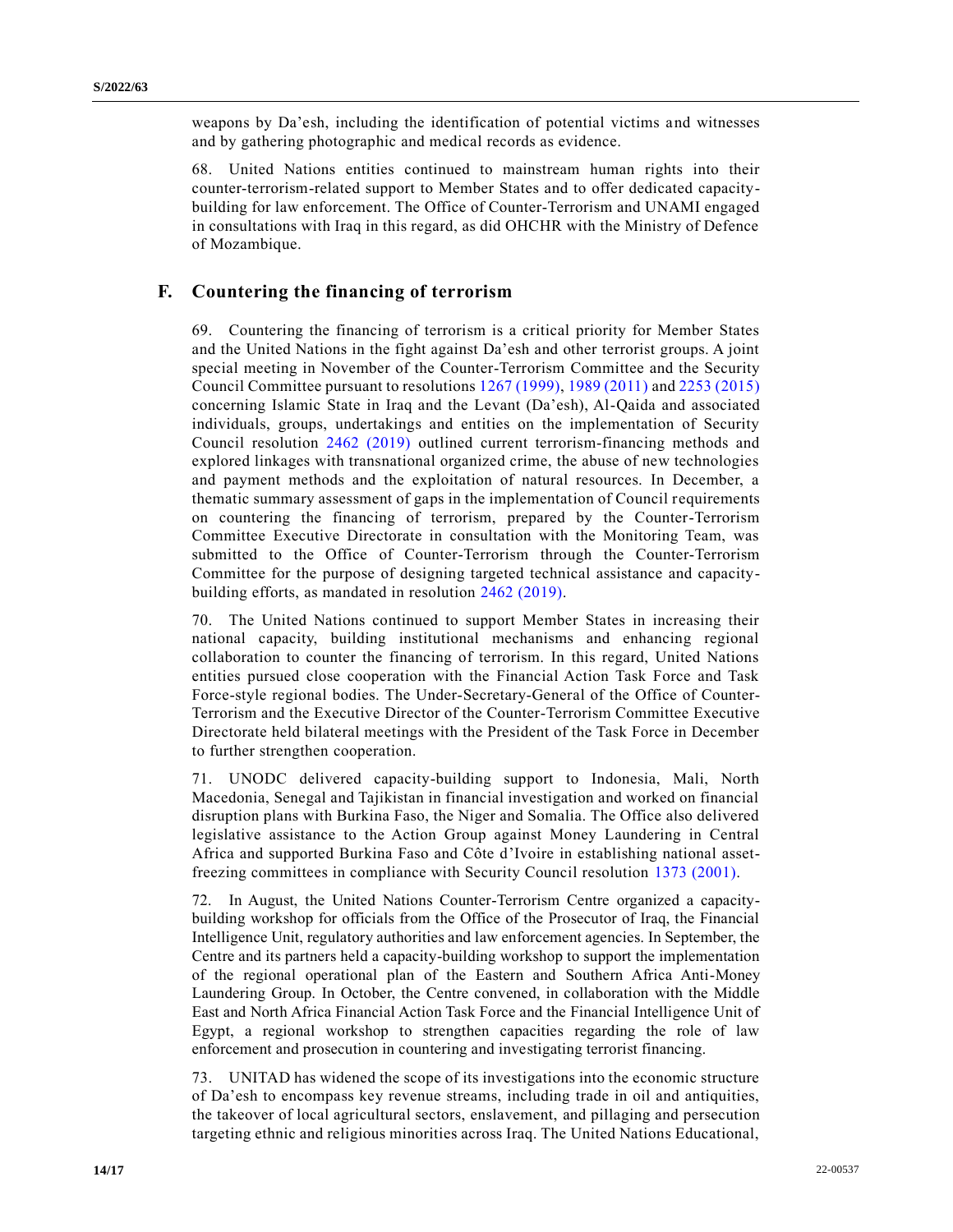weapons by Da'esh, including the identification of potential victims and witnesses and by gathering photographic and medical records as evidence.

68. United Nations entities continued to mainstream human rights into their counter-terrorism-related support to Member States and to offer dedicated capacitybuilding for law enforcement. The Office of Counter-Terrorism and UNAMI engaged in consultations with Iraq in this regard, as did OHCHR with the Ministry of Defence of Mozambique.

## **F. Countering the financing of terrorism**

69. Countering the financing of terrorism is a critical priority for Member States and the United Nations in the fight against Da'esh and other terrorist groups. A joint special meeting in November of the Counter-Terrorism Committee and the Security Council Committee pursuant to resolutions [1267 \(1999\),](https://undocs.org/en/S/RES/1267(1999)) [1989 \(2011\)](https://undocs.org/en/S/RES/1989(2011)) an[d 2253 \(2015\)](https://undocs.org/en/S/RES/2253(2015)) concerning Islamic State in Iraq and the Levant (Da'esh), Al-Qaida and associated individuals, groups, undertakings and entities on the implementation of Security Council resolution [2462 \(2019\)](https://undocs.org/en/S/RES/2462(2019)) outlined current terrorism-financing methods and explored linkages with transnational organized crime, the abuse of new technologies and payment methods and the exploitation of natural resources. In December, a thematic summary assessment of gaps in the implementation of Council requirements on countering the financing of terrorism, prepared by the Counter-Terrorism Committee Executive Directorate in consultation with the Monitoring Team, was submitted to the Office of Counter-Terrorism through the Counter-Terrorism Committee for the purpose of designing targeted technical assistance and capacitybuilding efforts, as mandated in resolution [2462 \(2019\).](https://undocs.org/en/S/RES/2462(2019))

70. The United Nations continued to support Member States in increasing their national capacity, building institutional mechanisms and enhancing regional collaboration to counter the financing of terrorism. In this regard, United Nations entities pursued close cooperation with the Financial Action Task Force and Task Force-style regional bodies. The Under-Secretary-General of the Office of Counter-Terrorism and the Executive Director of the Counter-Terrorism Committee Executive Directorate held bilateral meetings with the President of the Task Force in December to further strengthen cooperation.

71. UNODC delivered capacity-building support to Indonesia, Mali, North Macedonia, Senegal and Tajikistan in financial investigation and worked on financial disruption plans with Burkina Faso, the Niger and Somalia. The Office also delivered legislative assistance to the Action Group against Money Laundering in Central Africa and supported Burkina Faso and Côte d'Ivoire in establishing national assetfreezing committees in compliance with Security Council resolution [1373 \(2001\).](https://undocs.org/en/S/RES/1373(2001))

72. In August, the United Nations Counter-Terrorism Centre organized a capacitybuilding workshop for officials from the Office of the Prosecutor of Iraq, the Financial Intelligence Unit, regulatory authorities and law enforcement agencies. In September, the Centre and its partners held a capacity-building workshop to support the implementation of the regional operational plan of the Eastern and Southern Africa Anti-Money Laundering Group. In October, the Centre convened, in collaboration with the Middle East and North Africa Financial Action Task Force and the Financial Intelligence Unit of Egypt, a regional workshop to strengthen capacities regarding the role of law enforcement and prosecution in countering and investigating terrorist financing.

73. UNITAD has widened the scope of its investigations into the economic structure of Da'esh to encompass key revenue streams, including trade in oil and antiquities, the takeover of local agricultural sectors, enslavement, and pillaging and persecution targeting ethnic and religious minorities across Iraq. The United Nations Educational,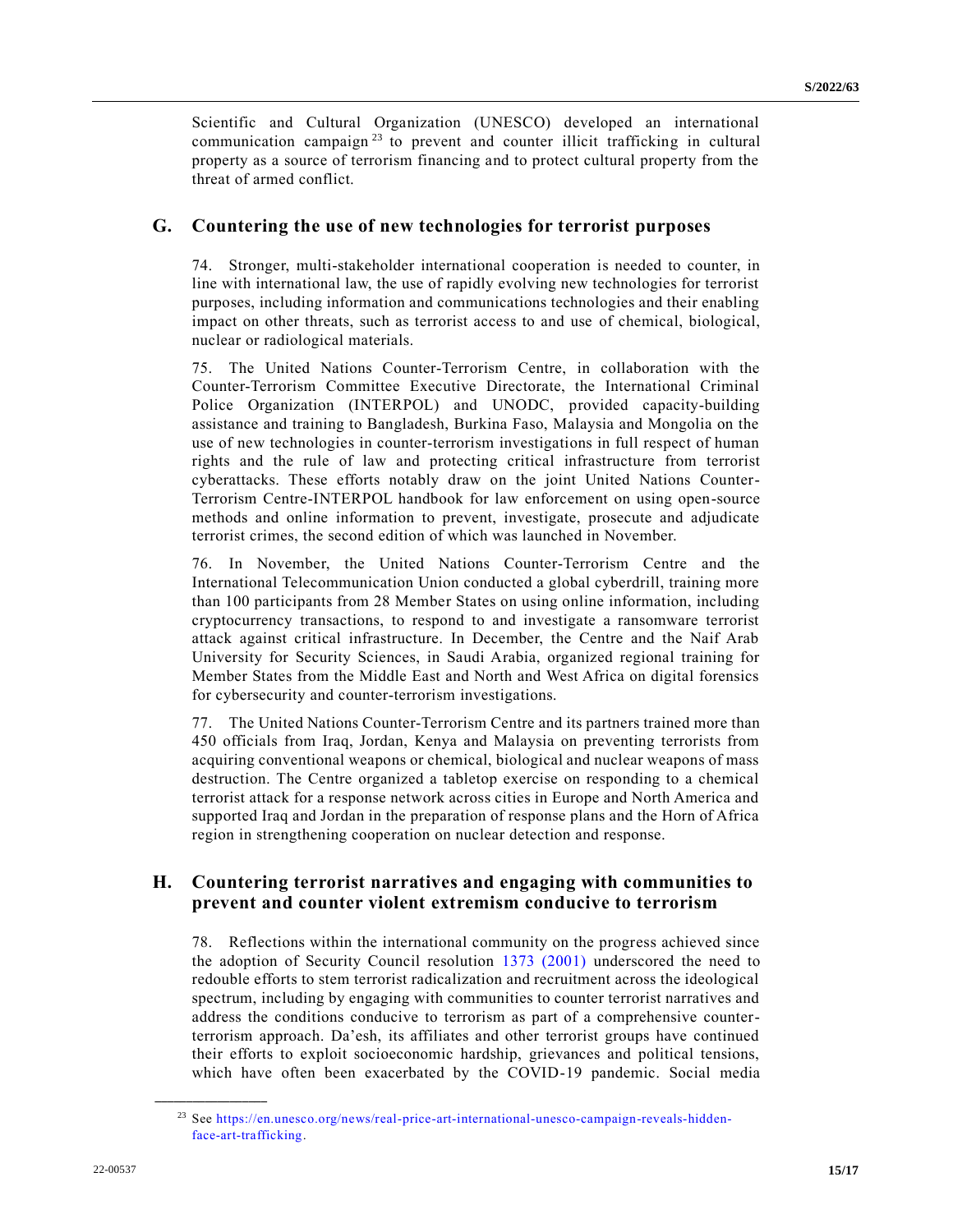Scientific and Cultural Organization (UNESCO) developed an international communication campaign<sup>23</sup> to prevent and counter illicit trafficking in cultural property as a source of terrorism financing and to protect cultural property from the threat of armed conflict.

## **G. Countering the use of new technologies for terrorist purposes**

74. Stronger, multi-stakeholder international cooperation is needed to counter, in line with international law, the use of rapidly evolving new technologies for terrorist purposes, including information and communications technologies and their enabling impact on other threats, such as terrorist access to and use of chemical, biological, nuclear or radiological materials.

75. The United Nations Counter-Terrorism Centre, in collaboration with the Counter-Terrorism Committee Executive Directorate, the International Criminal Police Organization (INTERPOL) and UNODC, provided capacity-building assistance and training to Bangladesh, Burkina Faso, Malaysia and Mongolia on the use of new technologies in counter-terrorism investigations in full respect of human rights and the rule of law and protecting critical infrastructure from terrorist cyberattacks. These efforts notably draw on the joint United Nations Counter-Terrorism Centre-INTERPOL handbook for law enforcement on using open-source methods and online information to prevent, investigate, prosecute and adjudicate terrorist crimes, the second edition of which was launched in November.

76. In November, the United Nations Counter-Terrorism Centre and the International Telecommunication Union conducted a global cyberdrill, training more than 100 participants from 28 Member States on using online information, including cryptocurrency transactions, to respond to and investigate a ransomware terrorist attack against critical infrastructure. In December, the Centre and the Naif Arab University for Security Sciences, in Saudi Arabia, organized regional training for Member States from the Middle East and North and West Africa on digital forensics for cybersecurity and counter-terrorism investigations.

77. The United Nations Counter-Terrorism Centre and its partners trained more than 450 officials from Iraq, Jordan, Kenya and Malaysia on preventing terrorists from acquiring conventional weapons or chemical, biological and nuclear weapons of mass destruction. The Centre organized a tabletop exercise on responding to a chemical terrorist attack for a response network across cities in Europe and North America and supported Iraq and Jordan in the preparation of response plans and the Horn of Africa region in strengthening cooperation on nuclear detection and response.

## **H. Countering terrorist narratives and engaging with communities to prevent and counter violent extremism conducive to terrorism**

78. Reflections within the international community on the progress achieved since the adoption of Security Council resolution [1373 \(2001\)](https://undocs.org/en/S/RES/1373(2001)) underscored the need to redouble efforts to stem terrorist radicalization and recruitment across the ideological spectrum, including by engaging with communities to counter terrorist narratives and address the conditions conducive to terrorism as part of a comprehensive counterterrorism approach. Da'esh, its affiliates and other terrorist groups have continued their efforts to exploit socioeconomic hardship, grievances and political tensions, which have often been exacerbated by the COVID-19 pandemic. Social media

<sup>23</sup> See [https://en.unesco.org/news/real-price-art-international-unesco-campaign-reveals-hidden](https://en.unesco.org/news/real-price-art-international-unesco-campaign-reveals-hidden-face-art-trafficking)[face-art-trafficking.](https://en.unesco.org/news/real-price-art-international-unesco-campaign-reveals-hidden-face-art-trafficking)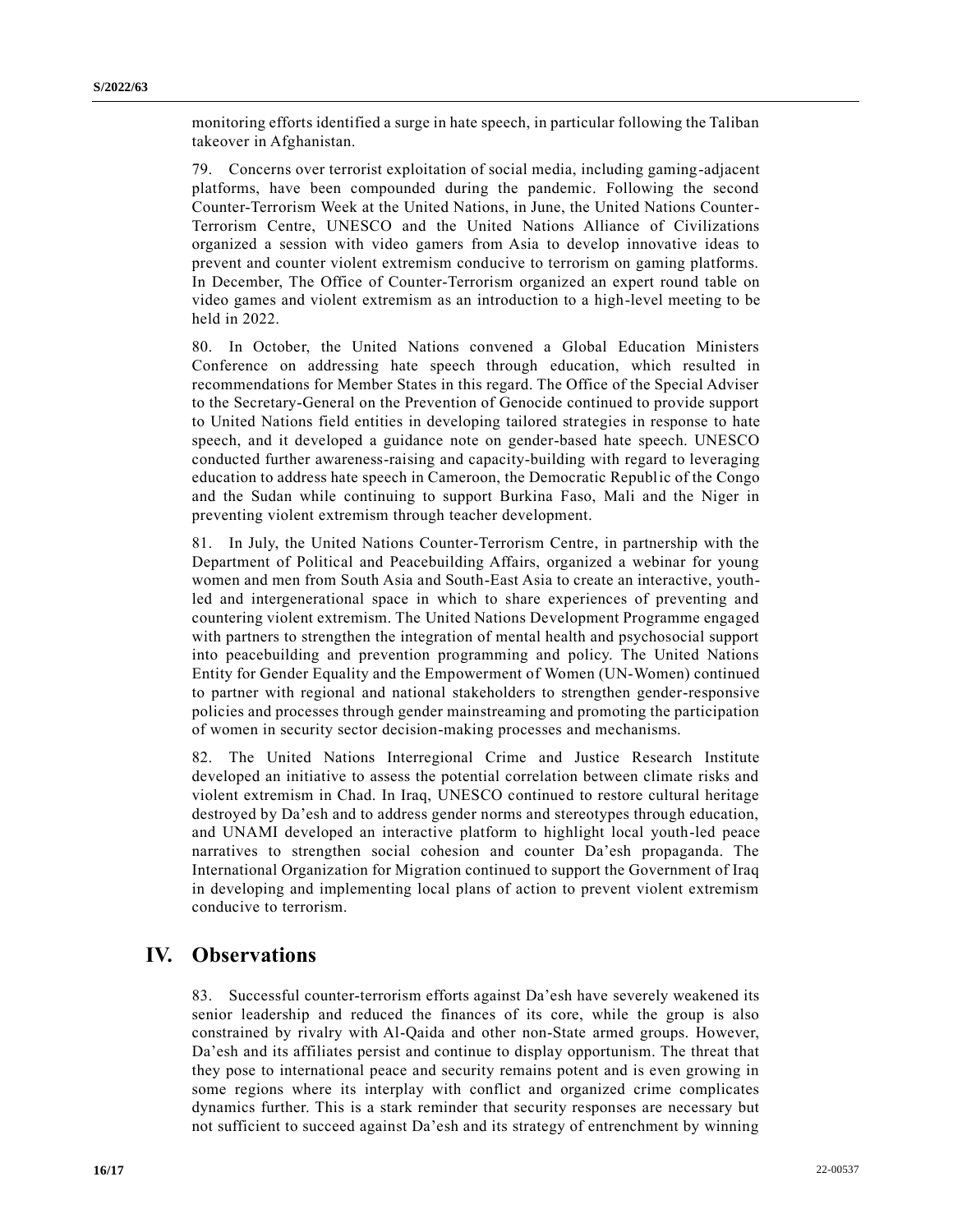monitoring efforts identified a surge in hate speech, in particular following the Taliban takeover in Afghanistan.

79. Concerns over terrorist exploitation of social media, including gaming-adjacent platforms, have been compounded during the pandemic. Following the second Counter-Terrorism Week at the United Nations, in June, the United Nations Counter-Terrorism Centre, UNESCO and the United Nations Alliance of Civilizations organized a session with video gamers from Asia to develop innovative ideas to prevent and counter violent extremism conducive to terrorism on gaming platforms. In December, The Office of Counter-Terrorism organized an expert round table on video games and violent extremism as an introduction to a high-level meeting to be held in 2022.

80. In October, the United Nations convened a Global Education Ministers Conference on addressing hate speech through education, which resulted in recommendations for Member States in this regard. The Office of the Special Adviser to the Secretary-General on the Prevention of Genocide continued to provide support to United Nations field entities in developing tailored strategies in response to hate speech, and it developed a guidance note on gender-based hate speech. UNESCO conducted further awareness-raising and capacity-building with regard to leveraging education to address hate speech in Cameroon, the Democratic Republic of the Congo and the Sudan while continuing to support Burkina Faso, Mali and the Niger in preventing violent extremism through teacher development.

81. In July, the United Nations Counter-Terrorism Centre, in partnership with the Department of Political and Peacebuilding Affairs, organized a webinar for young women and men from South Asia and South-East Asia to create an interactive, youthled and intergenerational space in which to share experiences of preventing and countering violent extremism. The United Nations Development Programme engaged with partners to strengthen the integration of mental health and psychosocial support into peacebuilding and prevention programming and policy. The United Nations Entity for Gender Equality and the Empowerment of Women (UN-Women) continued to partner with regional and national stakeholders to strengthen gender-responsive policies and processes through gender mainstreaming and promoting the participation of women in security sector decision-making processes and mechanisms.

82. The United Nations Interregional Crime and Justice Research Institute developed an initiative to assess the potential correlation between climate risks and violent extremism in Chad. In Iraq, UNESCO continued to restore cultural heritage destroyed by Da'esh and to address gender norms and stereotypes through education, and UNAMI developed an interactive platform to highlight local youth-led peace narratives to strengthen social cohesion and counter Da'esh propaganda. The International Organization for Migration continued to support the Government of Iraq in developing and implementing local plans of action to prevent violent extremism conducive to terrorism.

# **IV. Observations**

83. Successful counter-terrorism efforts against Da'esh have severely weakened its senior leadership and reduced the finances of its core, while the group is also constrained by rivalry with Al-Qaida and other non-State armed groups. However, Da'esh and its affiliates persist and continue to display opportunism. The threat that they pose to international peace and security remains potent and is even growing in some regions where its interplay with conflict and organized crime complicates dynamics further. This is a stark reminder that security responses are necessary but not sufficient to succeed against Da'esh and its strategy of entrenchment by winning